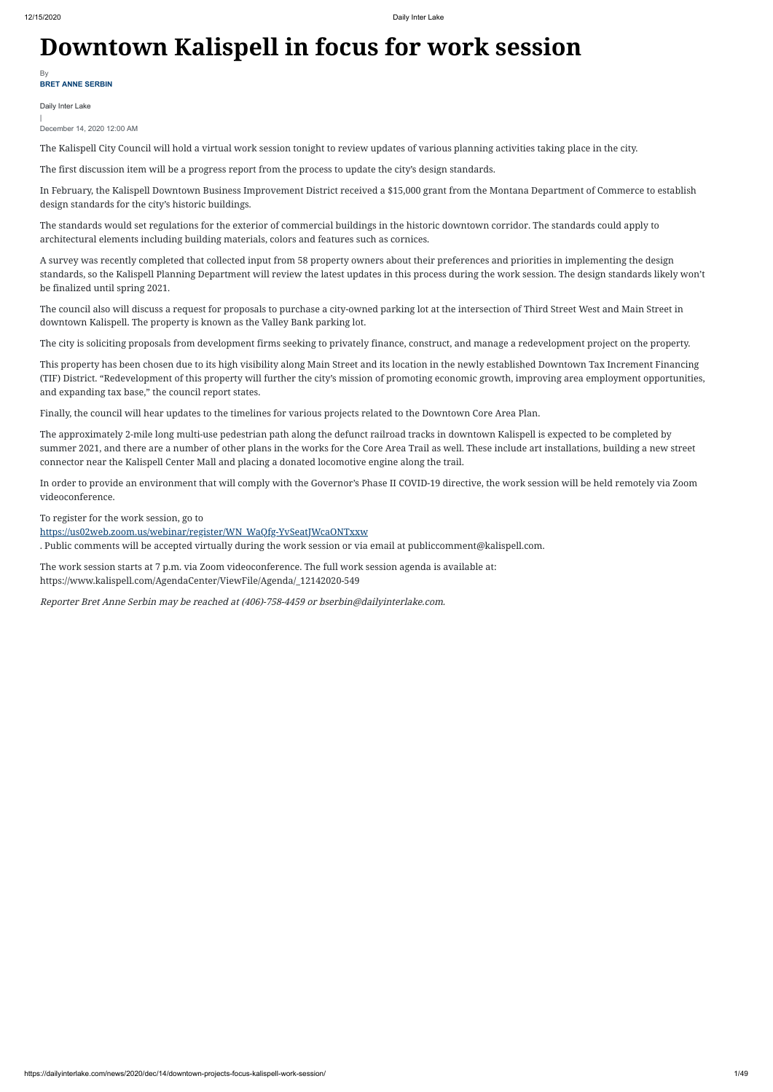https://dailyinterlake.com/news/2020/dec/14/downtown-projects-focus-kalispell-work-session/ 1/49

# **Downtown Kalispell in focus for work session**

Daily Inter Lake

| December 14, 2020 12:00 AM

The Kalispell City Council will hold a virtual work session tonight to review updates of various planning activities taking place in the city.

The first discussion item will be a progress report from the process to update the city's design standards.

In February, the Kalispell Downtown Business Improvement District received a \$15,000 grant from the Montana Department of Commerce to establish design standards for the city's historic buildings.

The standards would set regulations for the exterior of commercial buildings in the historic downtown corridor. The standards could apply to architectural elements including building materials, colors and features such as cornices.

A survey was recently completed that collected input from 58 property owners about their preferences and priorities in implementing the design standards, so the Kalispell Planning Department will review the latest updates in this process during the work session. The design standards likely won't be finalized until spring 2021.

The council also will discuss a request for proposals to purchase a city-owned parking lot at the intersection of Third Street West and Main Street in downtown Kalispell. The property is known as the Valley Bank parking lot.

The city is soliciting proposals from development firms seeking to privately finance, construct, and manage a redevelopment project on the property.

**BRET ANNE SERBIN** By

This property has been chosen due to its high visibility along Main Street and its location in the newly established Downtown Tax Increment Financing (TIF) District. "Redevelopment of this property will further the city's mission of promoting economic growth, improving area employment opportunities, and expanding tax base," the council report states.

Finally, the council will hear updates to the timelines for various projects related to the Downtown Core Area Plan.

The approximately 2-mile long multi-use pedestrian path along the defunct railroad tracks in downtown Kalispell is expected to be completed by summer 2021, and there are a number of other plans in the works for the Core Area Trail as well. These include art installations, building a new street connector near the Kalispell Center Mall and placing a donated locomotive engine along the trail.

In order to provide an environment that will comply with the Governor's Phase II COVID-19 directive, the work session will be held remotely via Zoom videoconference.

To register for the work session, go to

[https://us02web.zoom.us/webinar/register/WN\\_WaQfg-YvSeatJWcaONTxxw](https://us02web.zoom.us/webinar/register/WN_WaQfg-YvSeatJWcaONTxxw)

. Public comments will be accepted virtually during the work session or via email at publiccomment@kalispell.com.

The work session starts at 7 p.m. via Zoom videoconference. The full work session agenda is available at: https://www.kalispell.com/AgendaCenter/ViewFile/Agenda/\_12142020-549

Reporter Bret Anne Serbin may be reached at (406)-758-4459 or bserbin@dailyinterlake.com.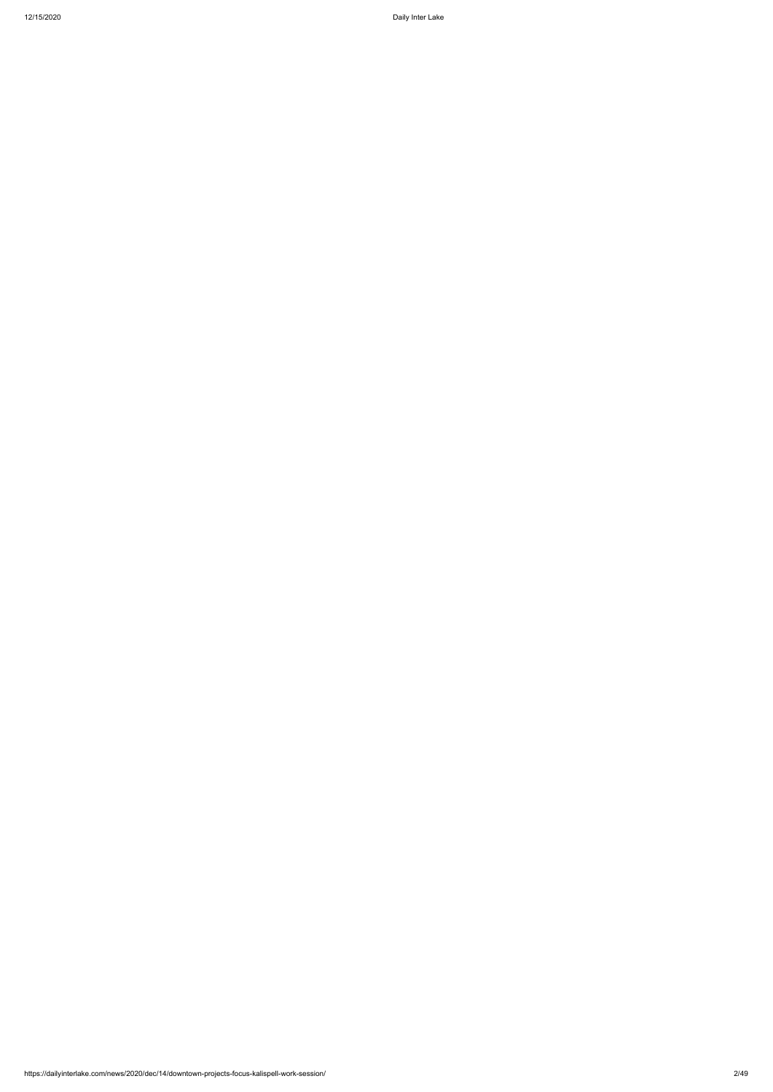https://dailyinterlake.com/news/2020/dec/14/downtown-projects-focus-kalispell-work-session/ 2/49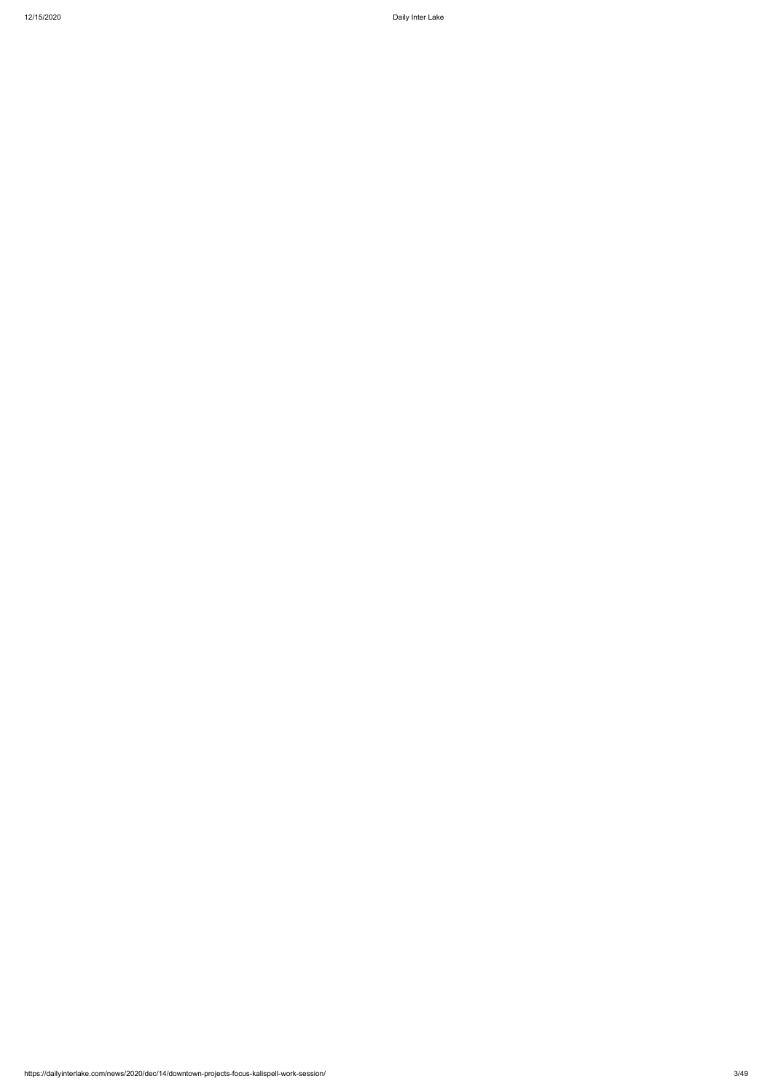https://dailyinterlake.com/news/2020/dec/14/downtown-projects-focus-kalispell-work-session/ 3/49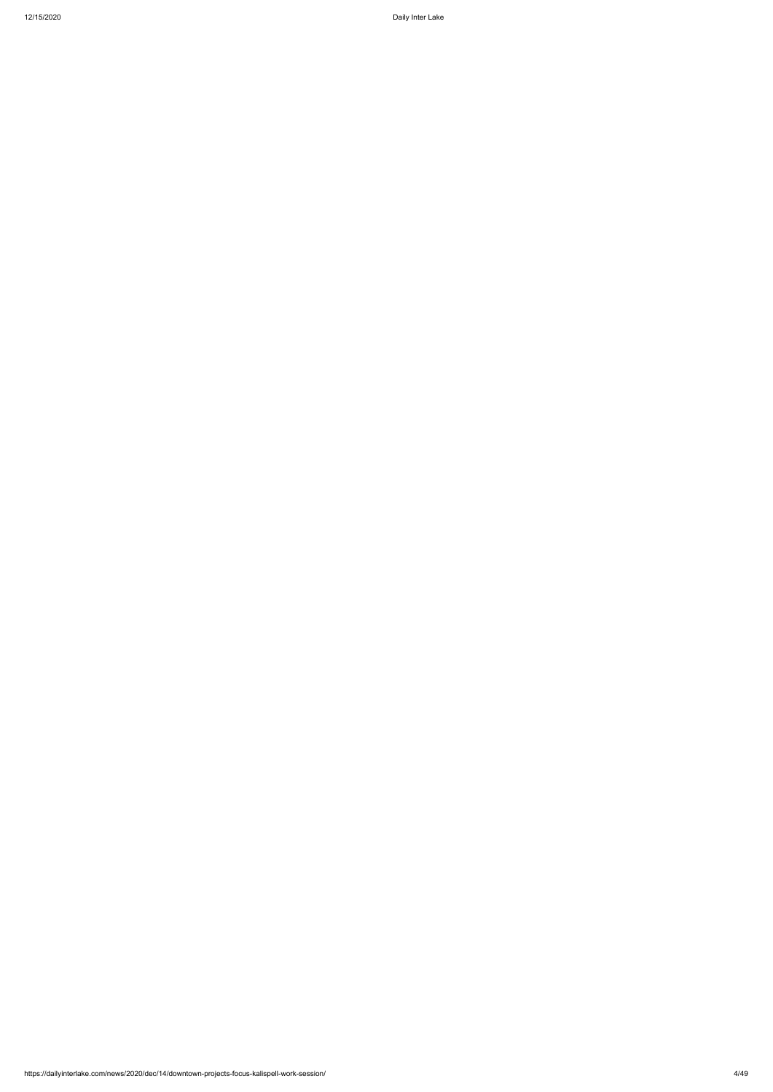https://dailyinterlake.com/news/2020/dec/14/downtown-projects-focus-kalispell-work-session/ 4/49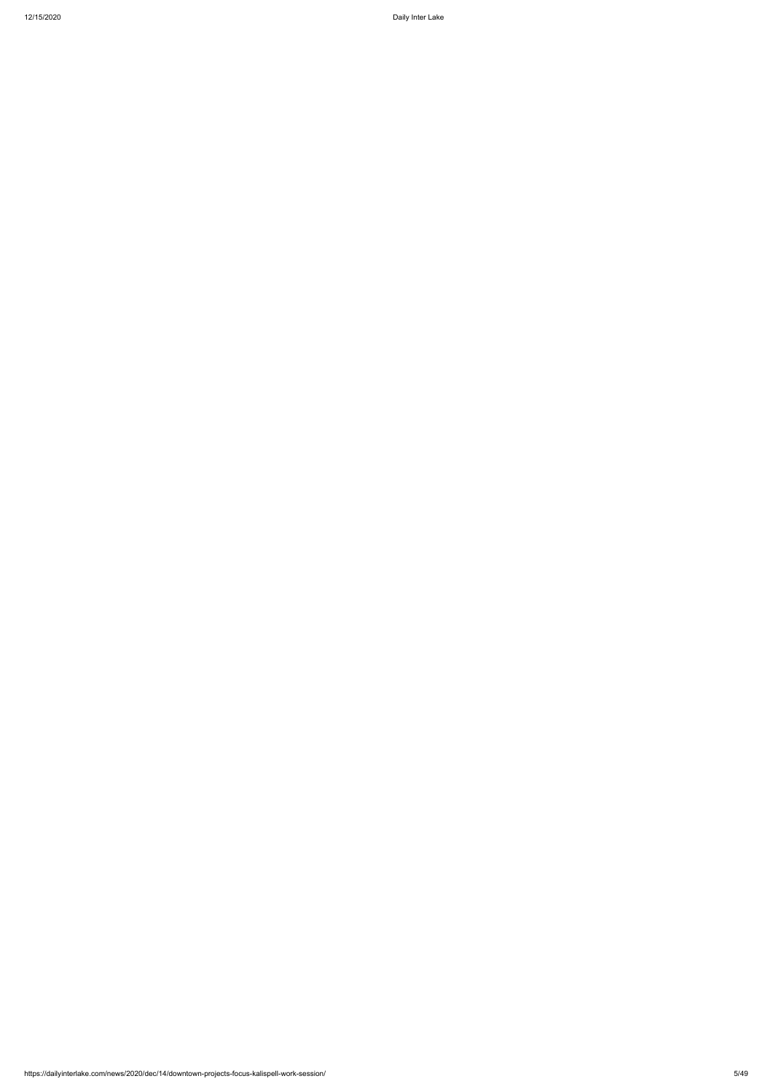https://dailyinterlake.com/news/2020/dec/14/downtown-projects-focus-kalispell-work-session/ 5/49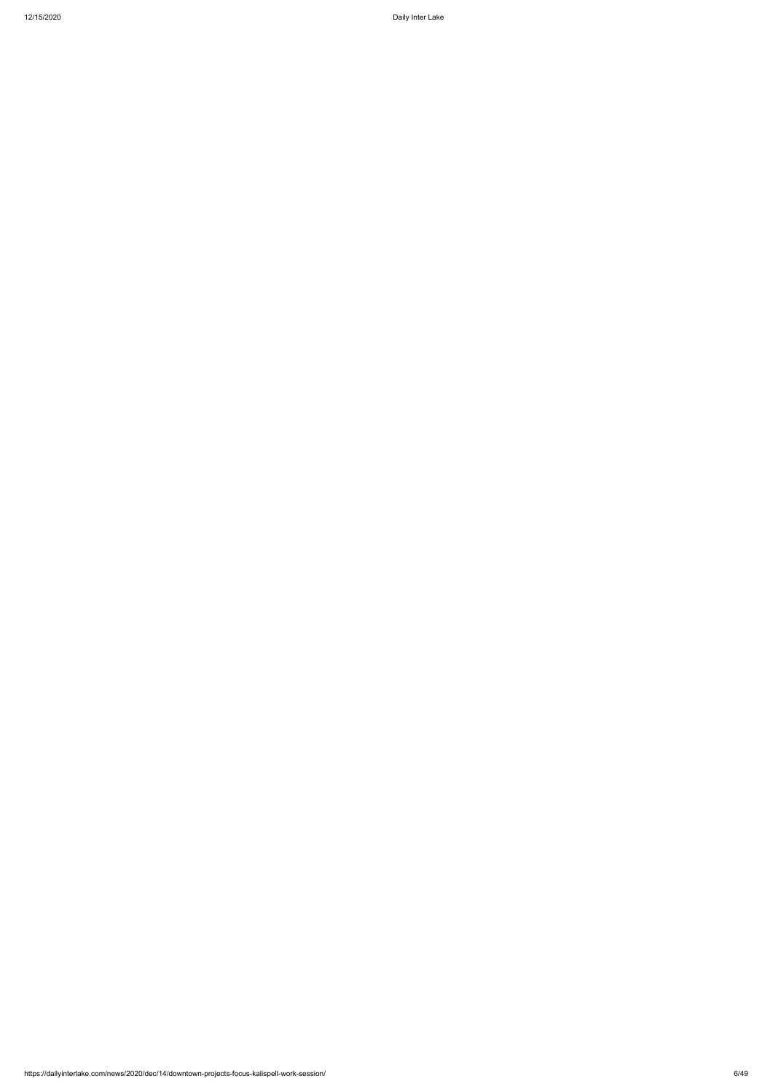https://dailyinterlake.com/news/2020/dec/14/downtown-projects-focus-kalispell-work-session/ 6/49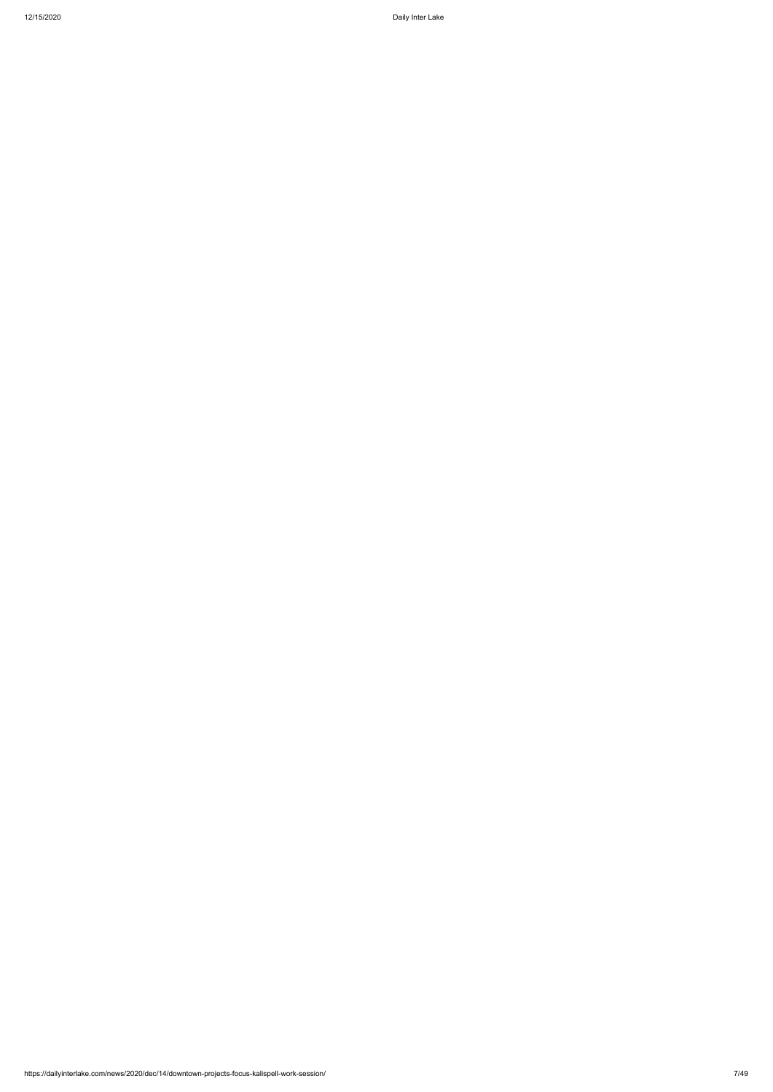https://dailyinterlake.com/news/2020/dec/14/downtown-projects-focus-kalispell-work-session/ 7/49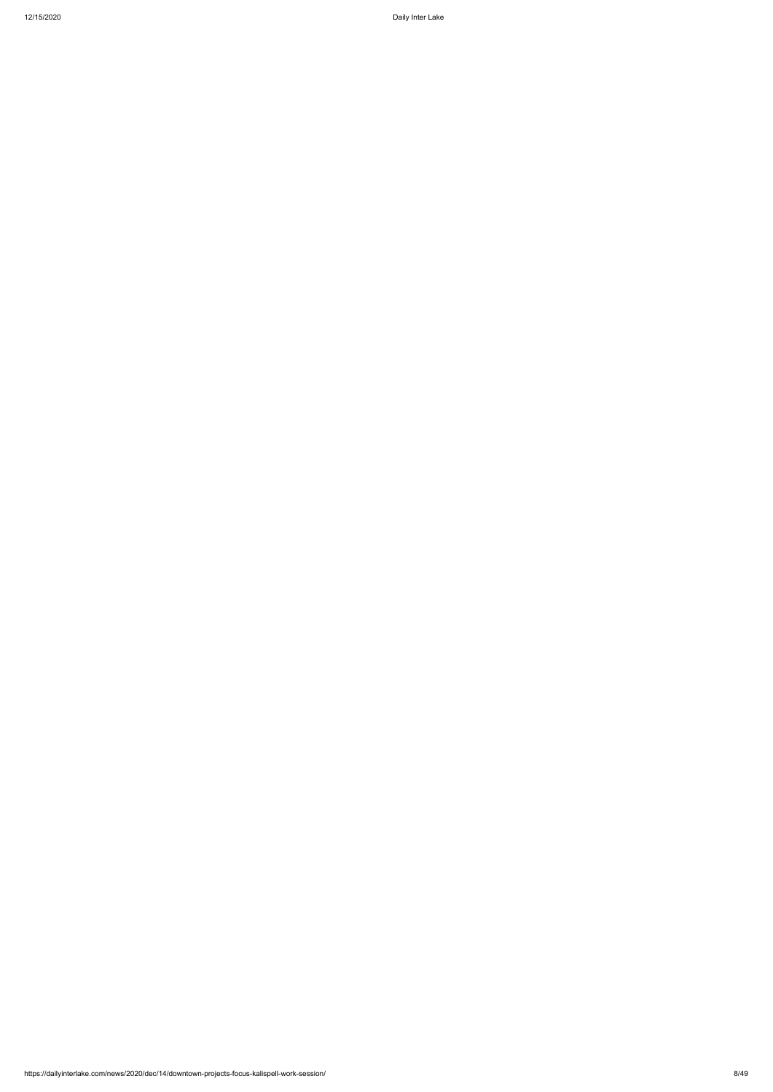https://dailyinterlake.com/news/2020/dec/14/downtown-projects-focus-kalispell-work-session/ 8/49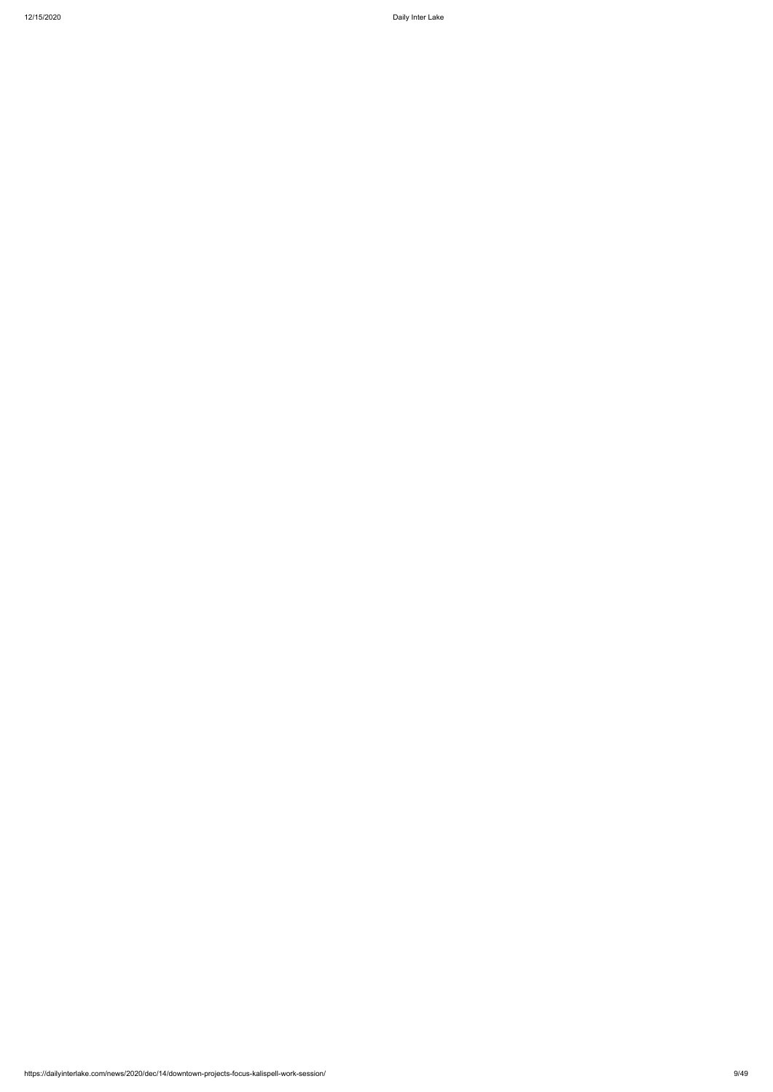https://dailyinterlake.com/news/2020/dec/14/downtown-projects-focus-kalispell-work-session/ 9/49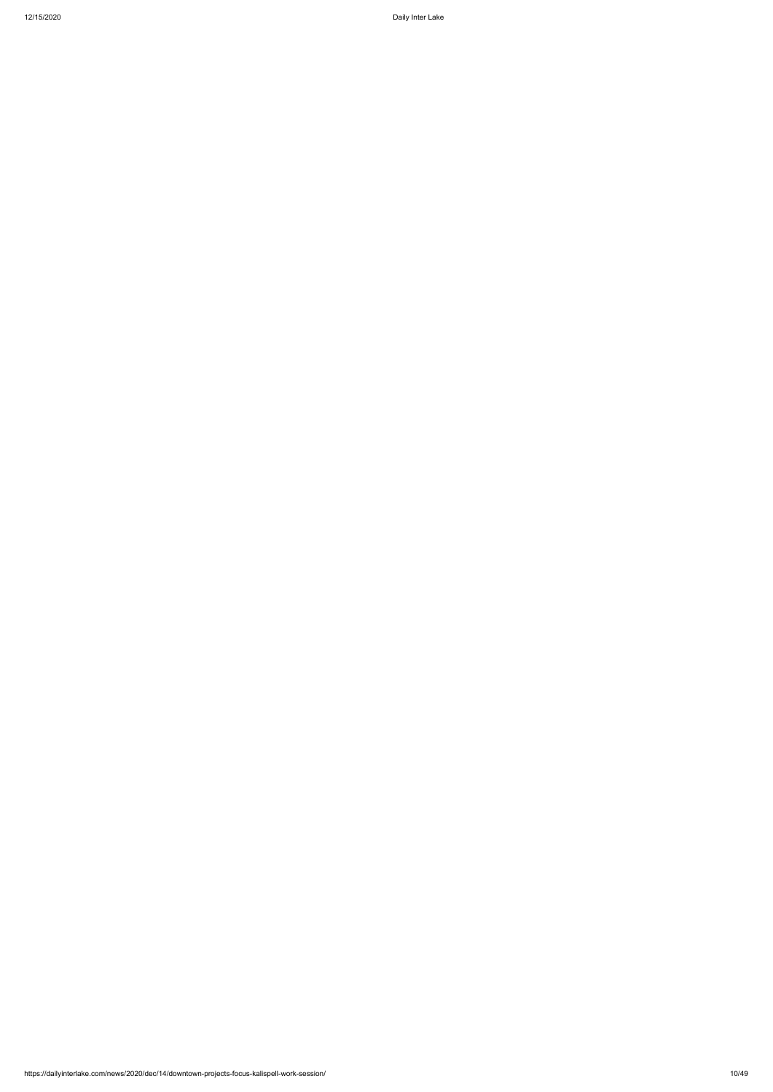https://dailyinterlake.com/news/2020/dec/14/downtown-projects-focus-kalispell-work-session/ 10/49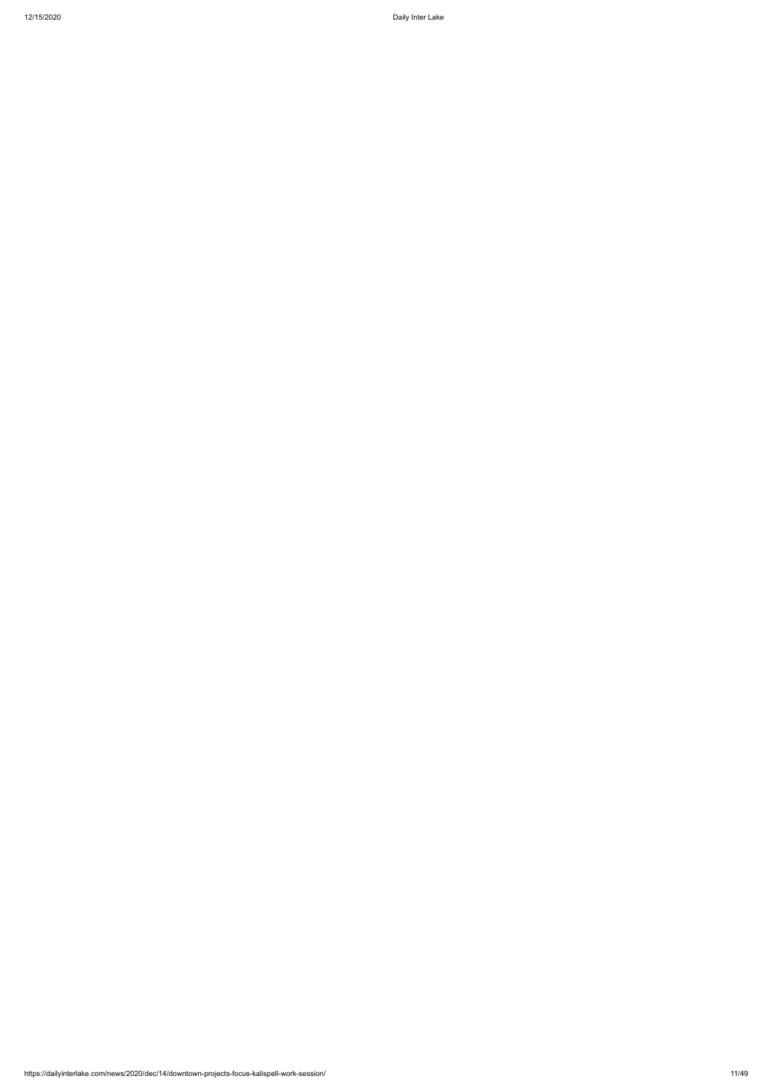https://dailyinterlake.com/news/2020/dec/14/downtown-projects-focus-kalispell-work-session/ 11/49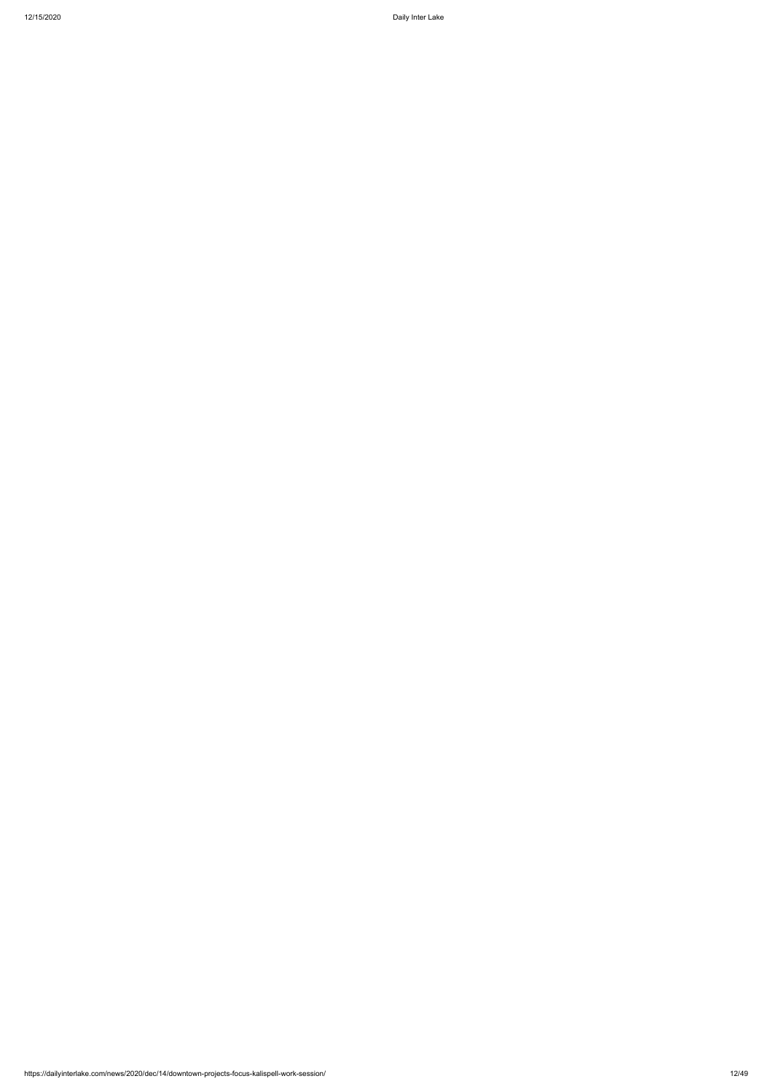https://dailyinterlake.com/news/2020/dec/14/downtown-projects-focus-kalispell-work-session/ 12/49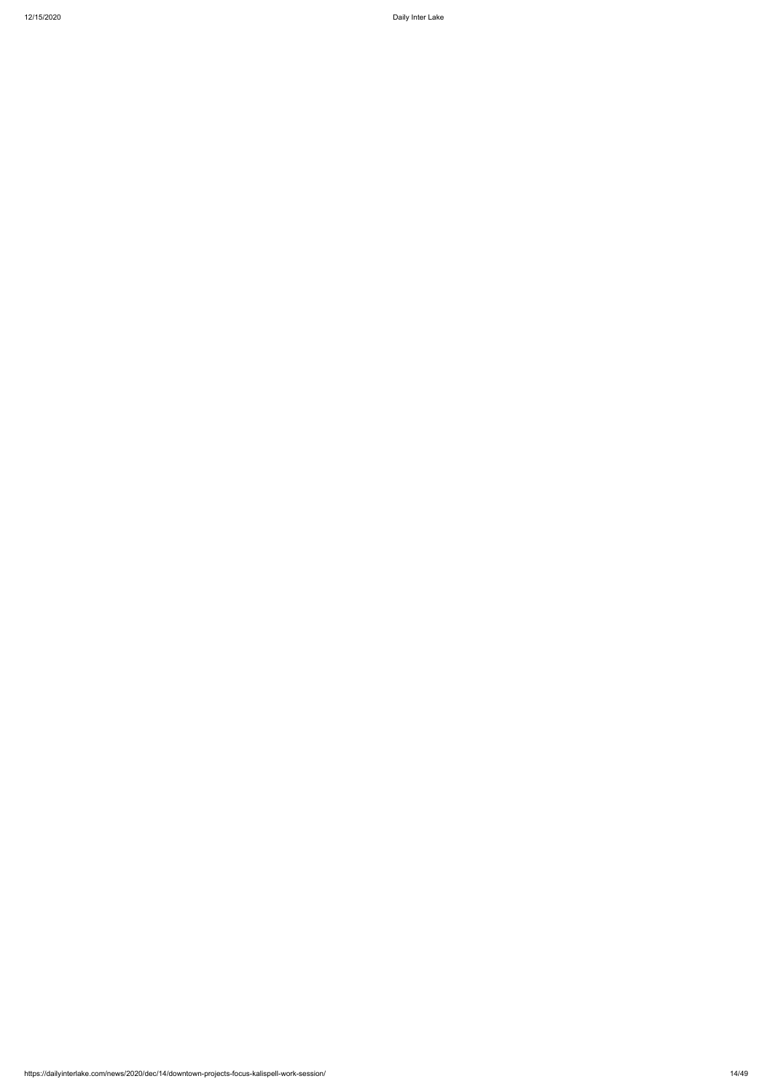https://dailyinterlake.com/news/2020/dec/14/downtown-projects-focus-kalispell-work-session/ 14/49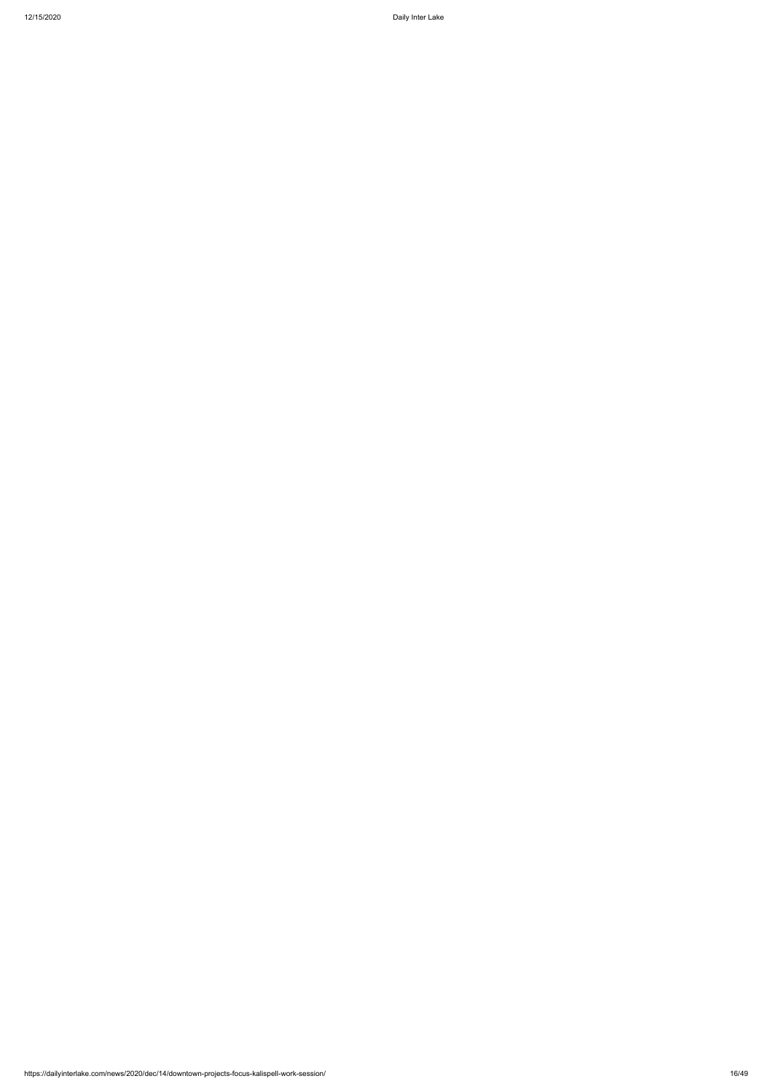https://dailyinterlake.com/news/2020/dec/14/downtown-projects-focus-kalispell-work-session/ 16/49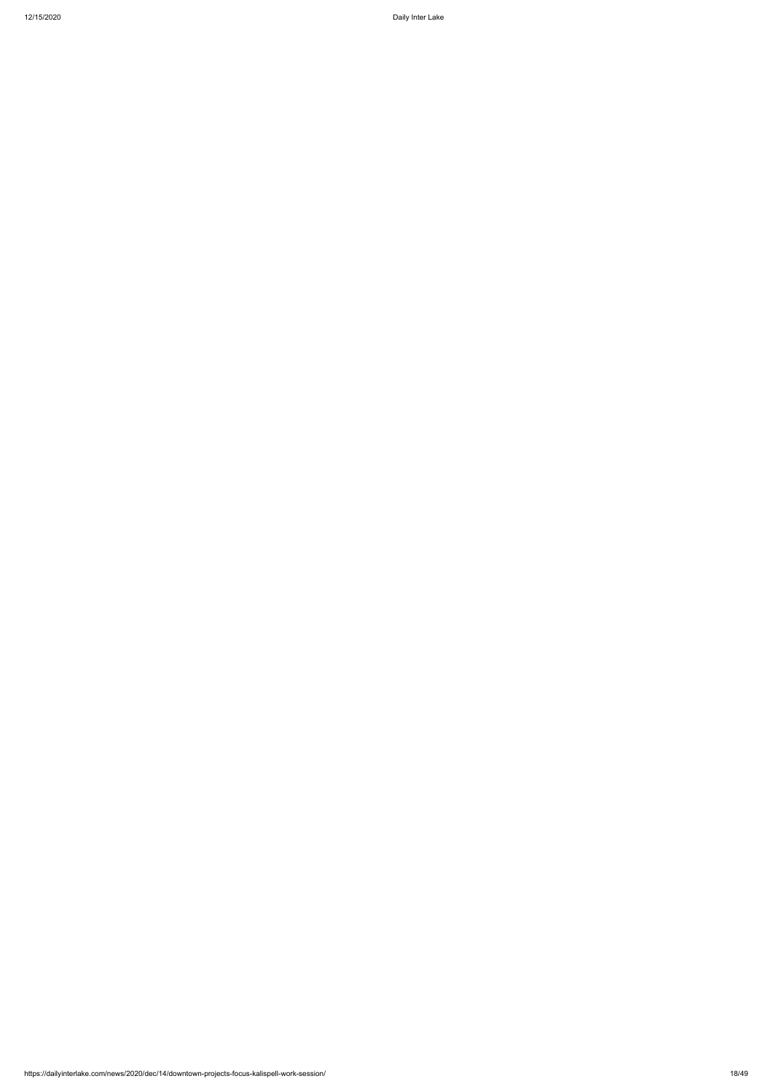https://dailyinterlake.com/news/2020/dec/14/downtown-projects-focus-kalispell-work-session/ 18/49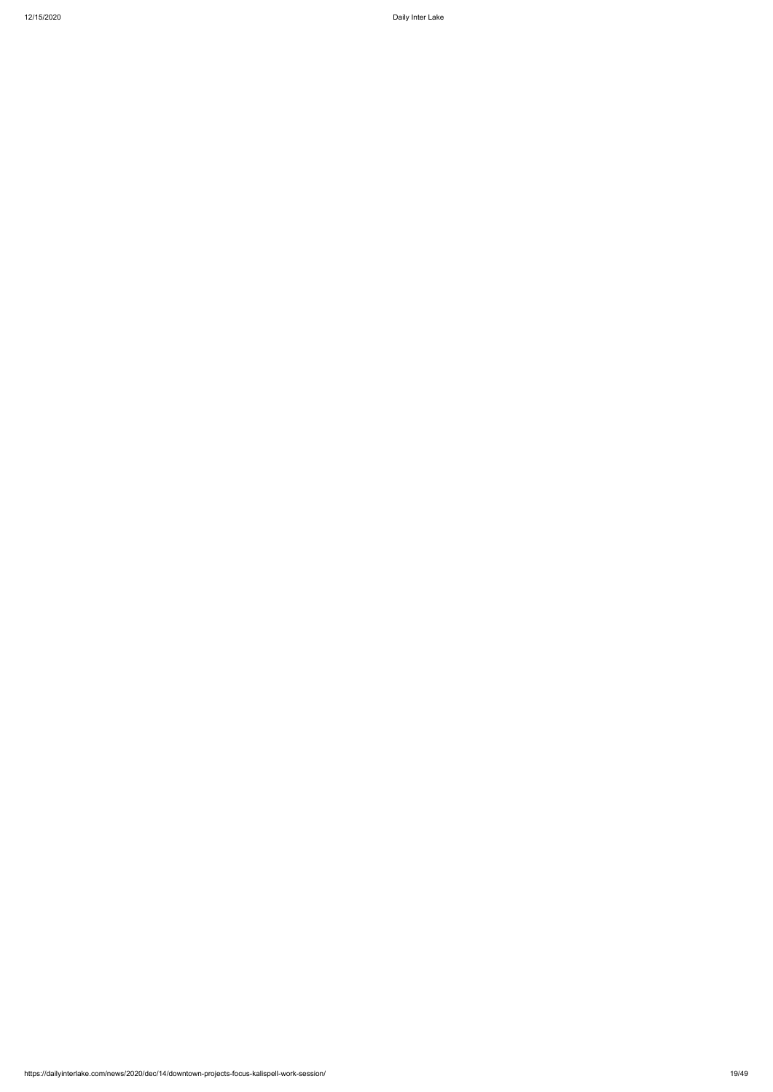https://dailyinterlake.com/news/2020/dec/14/downtown-projects-focus-kalispell-work-session/ 19/49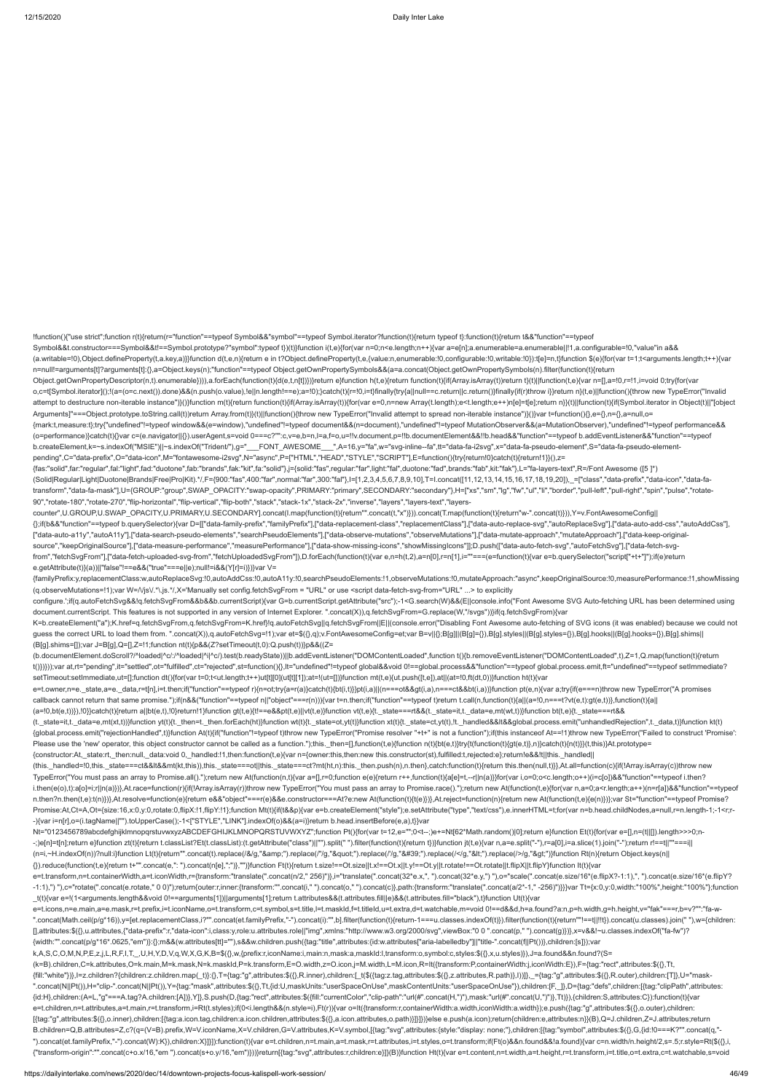n=null!=arguments[t]?arguments[t]:{},a=Object.keys(n);"function"==typeof Object.getOwnPropertySymbols&&(a=a.concat(Object.getOwnPropertySymbols(n).filter(function(t){return Object.getOwnPropertyDescriptor(n,t).enumerable}))),a.forEach(function(t){d(e,t,n[t])})}return e}function h(t,e){return function(t){if(Array.isArray(t))return t}(t)||function(t,e){var n=[],a=!0,r=!1,i=void 0;try{for(var o,c=t[Symbol.iterator]();!(a=(o=c.next()).done)&&(n.push(o.value),!e||n.length!==e);a=!0);}catch(t){r=!0,i=t}finally{try{a||null==c.return||c.return()}finally{if(r)throw i}}return n}(t,e)||function(){throw new TypeError("I attempt to destructure non-iterable instance")}()}function m(t){return function(t){if(Array.isArray(t)){for(var e=0,n=new Array(t.length);e<t.length;e++)n[e]=t[e];return n}}(t)||function(t){if(Symbol.iterator in Object(t)|

!function(){"use strict";function r(t){return(r="function"==typeof Symbol&&"symbol"==typeof Symbol.iterator?function(t){return typeof t}:function(t){return t&&"function"==typeof Symbol&&t.constructor===Symbol&&t!==Symbol.prototype?"symbol":typeof t})(t)}function i(t,e){for(var n=0;n<e.length;n++){var a=e[n];a.enumerable=a.enumerable||!1,a.configurable=!0,"value"in a&& (a.writable=!0),Object.defineProperty(t,a.key,a)}}function d(t,e,n){return e in t?Object.defineProperty(t,e,{value:n,enumerable:!0,configurable:!0,writable:!0}):t[e]=n,t}function \$(e){for(var t=1;t<arguments.length;t++){var

Arguments]"===Object.prototype.toString.call(t))return Array.from(t)}(t)||function(){throw new TypeError("Invalid attempt to spread non-iterable instance")}()}var t=function(){},e={},n={},a=null,o= {mark:t,measure:t};try{"undefined"!=typeof window&&(e=window),"undefined"!=typeof document&&(n=document),"undefined"!=typeof MutationObserver&&(a=MutationObserver),"undefined"!=typeof performance&& (o=performance)}catch(t){}var c=(e.navigator||{}).userAgent,s=void 0===c?"":c,v=e,b=n,l=a,f=o,u=!!v.document,p=!!b.documentElement&&!!b.head&&"function"==typeof b.addEventListener&&"function"==typeof b.createElement,k=~s.indexOf("MSIE")||~s.indexOf("Trident/"),g=" FONT\_AWESOME ",A=16,y="fa",w="svg-inline--fa",tt="data-fa-i2svg",x="data-fa-pseudo-element",S="data-fa-pseudo-element-

pending",C="data-prefix",O="data-icon",M="fontawesome-i2svg",N="async",P=["HTML","HEAD","STYLE","SCRIPT"],E=function(){try{return!0}catch(t){return!1}}(),z= {fas:"solid",far:"regular",fal:"light",fad:"duotone",fab:"brands",fak:"kit",fa:"solid"},j={solid:"fas",regular:"far",light:"fal",duotone:"fad",brands:"fab",kit:"fak"},L="fa-layers-text",R=/Font Awesome ([5 ]\*) (Solid|Regular|Light|Duotone|Brands|Free|Pro|Kit).\*/,F={900:"fas",400:"far",normal:"far",300:"fal"},I=[1,2,3,4,5,6,7,8,9,10],T=I.concat([11,12,13,14,15,16,17,18,19,20]),\_=["class","data-prefix","data-icon","data-fatransform","data-fa-mask"],U={GROUP:"group",SWAP\_OPACITY:"swap-opacity",PRIMARY:"primary",SECONDARY:"secondary"},H=["xs","sm","lg","fw","ul","li","border","pull-left","pull-right","spin","pulse","rotate-90","rotate-180","rotate-270","flip-horizontal","flip-vertical","flip-both","stack","stack-1x","stack-2x","inverse","layers","layers-text","layers-

document.currentScript. This features is not supported in any version of Internet Explorer. ".concat(X)),q.fetchSvgFrom=G.replace(W,"/svgs"))}if(q.fetchSvgFrom){var K=b.createElement("a");K.href=q.fetchSvgFrom,q.fetchSvgFrom=K.href}!q.autoFetchSvg||q.fetchSvgFrom||E||(console.error("Disabling Font Awesome auto-fetching of SVG icons (it was enabled) because we could not

guess the correct URL to load them from. ".concat(X)),q.autoFetchSvg=!1);var et=\$({},q);v.FontAwesomeConfig=et;var B=v||{};B[g]||(B[g]={}),B[g].styles||(B[g].styles={}),B[g].hooks||(B[g].hooks={}),B[g].shims|| (B[g].shims=[]);var J=B[g],Q=[],Z=!1;function nt(t){p&&(Z?setTimeout(t,0):Q.push(t))}p&&((Z= (b.documentElement.doScroll?/^loaded|^c/:/^loaded|^i|^c/).test(b.readyState))||b.addEventListener("DOMContentLoaded",function t(){b.removeEventListener("DOMContentLoaded",t),Z=1,Q.map(function(t){return t()})}));var at,rt="pending",it="settled",ot="fulfilled",ct="rejected",st=function(){},lt="undefined"!=typeof global&&void 0!==global.process&&"function"==typeof global.process.emit,ft="undefined"==typeof setImmediate?

(t.\_state=it,t.\_data=e,mt(xt,t))}function yt(t){t.\_then=t.\_then.forEach(ht)}function wt(t){t.\_state=ot,yt(t)}function xt(t){t.\_state=ct,yt(t)}. then=t,\_thandledRejection",t.\_data,t)}function kt(t) {global.process.emit("rejectionHandled",t)}function At(t){if("function"!=typeof t)throw new TypeError("Promise resolver "+t+" is not a function");if(this instanceof At==!1)throw new TypeError("Failed to construct 'Promise':

Please use the 'new' operator, this object constructor cannot be called as a function.");this.\_then=[],function(t,e){function n(t){bt(e,t)}try{t(function(t){gt(e,t)},n)}catch(t){n(t)}}(t,this)}At.prototype=

counter",U.GROUP,U.SWAP\_OPACITY,U.PRIMARY,U.SECONDARY].concat(I.map(function(t){return"".concat(t,"x")})).concat(T.map(function(t){return"w-".concat(t)})),Y=v.FontAwesomeConfig|| {};if(b&&"function"==typeof b.querySelector){var D=[["data-family-prefix","familyPrefix"],["data-replacement-class","replacementClass"],["data-auto-replace-svg","autoReplaceSvg"],["data-auto-add-css","autoAddCss"], ["data-auto-a11y","autoA11y"],["data-search-pseudo-elements","searchPseudoElements"],["data-observe-mutations","observeMutations"],["data-mutate-approach","mutateApproach"],["data-keep-originalsource","keepOriginalSource"],["data-measure-performance","measurePerformance"],["data-show-missing-icons","showMissingIcons"]];D.push(["data-auto-fetch-svg","autoFetchSvg"],["data-fetch-svgfrom","fetchSvgFrom"],["data-fetch-uploaded-svg-from","fetchUploadedSvgFrom"]),D.forEach(function(t){var e,n=h(t,2),a=n[0],r=n[1],i=""===(e=function(t){var e=b.querySelector("script["+t+"]");if(e)return e.getAttribute(t)}(a))||"false"!==e&&("true"===e||e);null!=i&&(Y[r]=i)})}var V=

{familyPrefix:y,replacementClass:w,autoReplaceSvg:!0,autoAddCss:!0,autoA11y:!0,searchPseudoElements:!1,observeMutations:!0,mutateApproach:"async",keepOriginalSource:!0,measurePerformance:!1,showMissing (q.observeMutations=!1);var W=/\/js\/.\*\.js.\*/,X='Manually set config.fetchSvgFrom = "URL" or use <script data-fetch-svg-from="URL" ...> to explicitly configure.';if(q.autoFetchSvg&&!q.fetchSvgFrom&&b&&b.currentScript){var G=b.currentScript.getAttribute("src");-1<G.search(W)&&(E||console.info("Font Awesome SVG Auto-fetching URL has been determined using

(this.\_handled=!0,this.\_state===ct&&lt&&mt(kt,this)),this.\_state===ot||this.\_state===ct?mt(ht,n):this.\_then.push(n),n.then},catch:function(t){return this.then(null,t)}},At.all=function(c){if(!Array.isArray(c))throw new TypeError("You must pass an array to Promise.all().");return new At(function(n,t){var a=[],r=0;function e(e){return r++,function(t){a[e]=t,--r||n(a)}}for(var i,o=0;o<c.length;o++)(i=c[o])&&"function"==typeof i.then? i.then(e(o),t):a[o]=i;r||n(a)})},At.race=function(r){if(!Array.isArray(r))throw new TypeError("You must pass an array to Promise.race().");return new At(function(t,e){for(var n,a=0;a<r.length;a++)(n=r[a])&&"function"==typeof n.then?n.then(t,e):t(n)})},At.resolve=function(e){return e&&"object"===r(e)&&e.constructor===At?e:new At(function(t){t(e)})},At.reject=function(n){return new At(function(t,e){e(n)})};var St="function"==typeof Promise? Promise:At,Ct=A,Ot={size:16,x:0,y:0,rotate:0,flipX:!1,flipY:!1};function Mt(t){if(t&&p){var e=b.createElement("style");e.setAttribute("type","text/css"),e.innerHTML=t;for(var n=b.head.childNodes,a=null,r=n.length-1;-1<r;r- -){var i=n[r],o=(i.tagName||"").toUpperCase();-1<["STYLE","LINK"].indexOf(o)&&(a=i)}return b.head.insertBefore(e,a),t}}var Nt="0123456789abcdefghijklmnopqrstuvwxyzABCDEFGHIJKLMNOPQRSTUVWXYZ";function Pt(){for(var t=12,e="";0<t--;)e+=Nt[62\*Math.random()|0];return e}function Et(t){for(var e=[],n=(t||[]).length>>>0;n--;)e[n]=t[n];return e}function zt(t){return t.classList?Et(t.classList):(t.getAttribute("class")||"").split(" ").filter(function(t){return t})}function jt(t,e){var n,a=e.split("-"),r=a[0],i=a.slice(1).join("-");return r!== (n=i,~H.indexOf(n))?null:i}function Lt(t){return"".concat(t).replace(/&/g,"&").replace(/"/g,""").replace(//g,"'").replace(/</g,"&lt;").replace(/>/g,"&gt;")}function Rt(n){return Object.keys(n|| {}).reduce(function(t,e){return t+"".concat(e,": ").concat(n[e],";")},"")}function Ft(t){return t.size!==Ot.size||t.x!==Ot.x||t.y!==Ot.y||t.rotate!==Ot.rotate||t.flipX||t.flipY}function It(t){var e=t.transform,n=t.containerWidth,a=t.iconWidth,r={transform:"translate(".concat(n/2," 256)")},i="translate(".concat(32\*e.x,", ").concat(32\*e.y,") "),o="scale(".concat(e.size/16\*(e.flipX?-1:1),", ").concat(e.size/16\*(e.flip -1:1),") "),c="rotate(".concat(e.rotate," 0 0)");return{outer:r,inner:{transform:"".concat(i," ").concat(o," ").concat(c)},path:{transform:"translate(".concat(a/2\*-1,"-256)"}}}}var Tt={x:0,y:0,width:"100%",height:"100%"};f \_t(t){var e=!(1<arguments.length&&void 0!==arguments[1])||arguments[1];return t.attributes&&(t.attributes.fill||e)&&(t.attributes.fill="black"),t}function Ut(t){var e=t.icons,n=e.main,a=e.mask,r=t.prefix,i=t.iconName,o=t.transform,c=t.symbol,s=t.title,l=t.maskId,f=t.titleId,u=t.extra,d=t.watchable,m=void 0!==d&&d,h=a.found?a:n,p=h.width,g=h.height,v="fak"===r,b=v?"":"fa-w- ".concat(Math.ceil(p/g\*16)),y=[et.replacementClass,i?"".concat(et.familyPrefix,"-").concat(i):"",b].filter(function(t){return-1===u.classes.indexOf(t)}).filter(function(t){return"!==t|!!!!}).concat(u.classes).join(""),w={c [],attributes:\$({},u.attributes,{"data-prefix":r,"data-icon":i,class:y,role:u.attributes.role||"img",xmlns:"http://www.w3.org/2000/svg",viewBox:"0 0 ".concat(p," ").concat(g)})},x=v&&!~u.classes.indexOf("fa-fw")? {width:"".concat(p/g\*16\*.0625,"em")}:{};m&&(w.attributes[tt]=""),s&&w.children.push({tag:"title",attributes:{id:w.attributes["aria-labelledby"]||"title-".concat(f||Pt())},children:[s]});var k,A,S,C,O,M,N,P,E,z,j,L,R,F,I,T,\_,U,H,Y,D,V,q,W,X,G,K,B=\$({},w,{prefix:r,iconName:i,main:n,mask:a,maskId:l,transform:o,symbol:c,styles:\$({},x,u.styles)}),J=a.found&&n.found?(S= (k=B).children,C=k.attributes,O=k.main,M=k.mask,N=k.maskId,P=k.transform,E=O.width,z=O.icon,j=M.width,L=M.icon,R=It({transform:P,containerWidth:j,iconWidth:E}),F={tag:"rect",attributes:\$({},Tt, {fill:"white"})},l=z.children?{children:z.children.map(\_t)}:{},T={tag:"g",attributes:\$({},R.inner),children:[\_t(\$({tag:z.tag,attributes:\$({},Z.attributes,R.path)},l))]},\_={tag:"g",attributes:\$({},R.outer),children:[T]},U=" ".concat(N||Pt()),H="clip-".concat(N||Pt()),Y={tag:"mask",attributes:\$({},Tt,{id:U,maskUnits:"userSpaceOnUse",maskContentUnits:"userSpaceOnUse"}),children:[F,\_]},D={tag:"defs",children:[{tag:"clipPath",attributes: {id:H},children:(A=L,"g"===A.tag?A.children:[A])},Y]},S.push(D,{tag:"rect",attributes:\$({fill:"currentColor","clip-path":"url(#".concat(H,")"),mask:"url(#".concat(U,")")},Tt)}),{children:S,attributes:C}):function(t){var e=t.children,n=t.attributes,a=t.main,r=t.transform,i=Rt(t.styles);if(0<i.length&&(n.style=i),Ft(r)){var o=It({transform:r,containerWidth:a.width,iconWidth:a.width});e.push({tag:"g",attributes:\$({},o.outer),children: [{tag:"g",attributes:\$({},o.inner),children:[{tag:a.icon.tag,children:a.icon.children,attributes:\$({},a.icon.attributes,o.path)}]}]})}else e.push(a.icon);return{children:e,attributes:n}}(B),Q=J.children,Z=J.attributes;return B.children=Q,B.attributes=Z,c?(q=(V=B).prefix,W=V.iconName,X=V.children,G=V.attributes,K=V.symbol,[{tag:"svg",attributes:{style:"display: none;"},children:[{tag:"symbol",attributes:\$({},G,{id:!0===K?"".concat(q,"- ").concat(et.familyPrefix,"-").concat(W):K}),children:X}]}]):function(t){var e=t.children,n=t.main,a=t.mask,r=t.attributes,i=t.styles,o=t.transform;if(Ft(o)&&n.found&&la.found){var c=n.width/n.height/2,s=.5;r.style=Rt(\$({} {"transform-origin":"".concat(c+o.x/16,"em ").concat(s+o.y/16,"em")}))}return[{tag:"svg",attributes:r,children:e}]}(B)}function Ht(t){var e=t.content,n=t.width,a=t.height,r=t.transform,i=t.title,o=t.extra,c=t.watchable,s=v

setTimeout:setImmediate,ut=[];function dt(){for(var t=0;t<ut.length;t++)ut[t][0](ut[t][1]);at=!(ut=[])}function mt(t,e){ut.push([t,e]),at||(at=!0,ft(dt,0))}function ht(t){var e=t.owner,n=e.\_state,a=e.\_data,r=t[n],i=t.then;if("function"==typeof r){n=ot;try{a=r(a)}catch(t){bt(i,t)}}pt(i,a)||(n===ot&&gt(i,a),n===ct&&bt(i,a))}function pt(e,n){var a;try{if(e===n)throw new TypeError("A promises callback cannot return that same promise.");if(n&&("function"==typeof n||"object"===r(n))){var t=n.then;if("function"==typeof t)return t.call(n,function(t){a||(a=!0,n===t?vt(e,t):gt(e,t))},function(t){a|| (a=!0,bt(e,t))}),!0}}catch(t){return a||bt(e,t),!0}return!1}function gt(t,e){t!==e&&pt(t,e)||vt(t,e)}function vt(t,e){t.\_state===rt&&(t.\_state=it,t.\_data=e,mt(wt,t))}function bt(t,e){t.\_state===rt&&

{constructor:At,\_state:rt,\_then:null,\_data:void 0,\_handled:!1,then:function(t,e){var n={owner:this,then:new this.constructor(st),fulfilled:t,rejected:e};return!e&&!t||this.\_handled||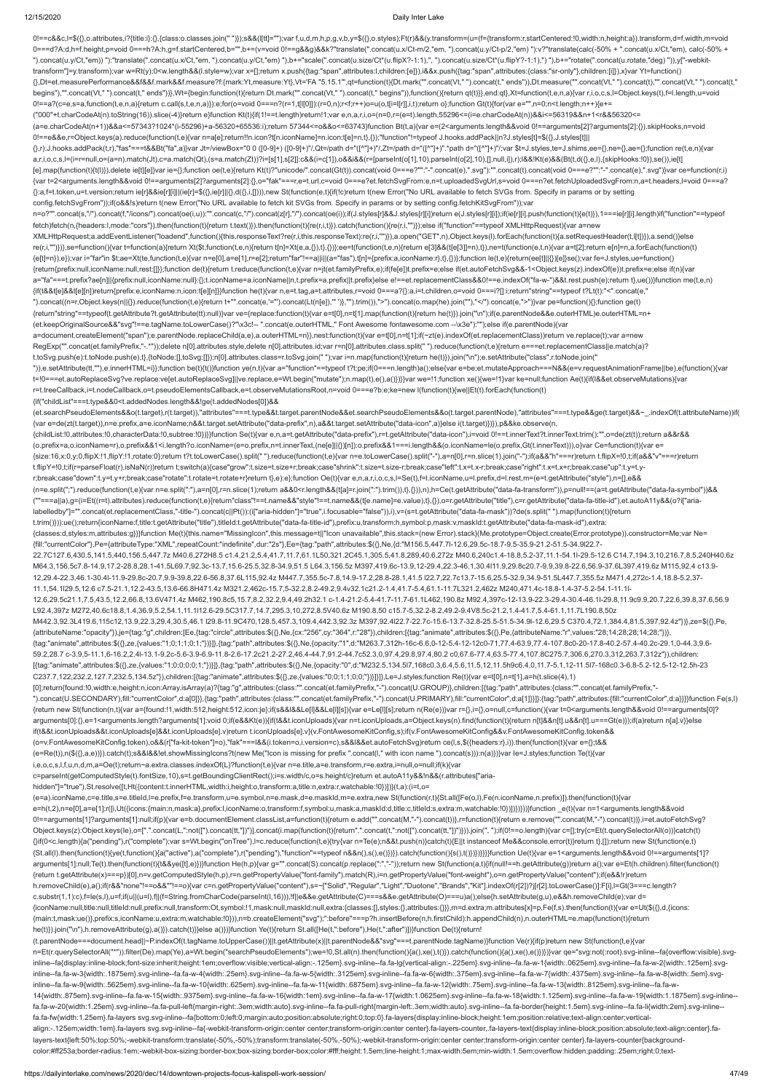https://dailyinterlake.com/news/2020/dec/14/downtown-projects-focus-kalispell-work-session/ 47/49

0!==c&&c,l=\$({},o.attributes,i?{title:i}:{},{class:o.classes.join(" ")});s&&(l[tt]="");var f,u,d,m,h,p,g,v,b,y=\$({},o.styles);Ft(r)&&(y.transform=(u=(f={transform:r,startCentered:!0,width:n,height:a}).transform,d=f.width,m 0===d?A:d,h=f.height,p=void 0===h?A:h,g=f.startCentered,b="",b+=(v=void 0!==g&&g)&k?"translate(".concat(u.x/Ct-m/2,"em, ").concat(u.y/Ct-p/2,"em) "):v?"translate(calc(-50% + ".concat(u.x/Ct,"em), calc(-50% + ").concat(u.y/Ct,"em)) "):"translate(".concat(u.x/Ct,"em, ").concat(u.y/Ct,"em) "),b+="scale(".concat(u.size/Ct\*(u.flipX?-1:1),", ").concat(u.size/Ct\*(u.flipY?-1:1),") "),b+="rotate(".concat(u.rotate,"deg) ")),y["-webkittransform"]=y.transform);var w=Rt(y);0<w.length&&(l.style=w);var x=[];return x.push({tag:"span",attributes:l,children:[e]}),i&&x.push({tag:"span",attributes:{class:"sr-only"},children:[i]}),x}var Yt=function() {},Dt=et.measurePerformance&&f&&f.mark&&f.measure?f:{mark:Yt,measure:Yt},Vt='FA "5.15.1"',qt=function(t){Dt.mark("".concat(Vt," ").concat(t," ends")),Dt.measure("".concat(Vt," ").concat(t),"".concat(Vt," ").concat(t," begins"),"".concat(Vt," ").concat(t," ends"))},Wt={begin:function(t){return Dt.mark("".concat(Vt," ").concat(t," begins")),function(){return qt(t)}},end:qt},Xt=function(t,e,n,a){var r,i,o,c,s,l=Object.keys(t),f=l.length,u= 0!==a?(c=e,s=a,function(t,e,n,a){return c.call(s,t,e,n,a)}):e;for(o=void 0===n?(r=1,t[l[0]]):(r=0,n);r<f;r++)o=u(o,t[i=l[r]],i,t);return o};function Gt(t){for(var e="",n=0;n<t.length;n++){e+= ("000"+t.charCodeAt(n).toString(16)).slice(-4)}return e}function Kt(t){if(1!==t.length)return!1;var e,n,a,r,i,o=(n=0,r=(e=t).length,55296<=(i=e.charCodeAt(n))&&i<=56319&&n+1<r&&56320<= (a=e.charCodeAt(n+1))&&a<=57343?1024\*(i-55296)+a-56320+65536:i);return 57344<=o&&o<=63743}function Bt(t,a){var e=(2<arguments.length&&void 0!==arguments[2]?arguments[2]:{}).skipHooks,n=void 0!==e&&e,r=Object.keys(a).reduce(function(t,e){var n=a[e];return!!n.icon?t[n.iconName]=n.icon:t[e]=n,t},{});"function"!=typeof J.hooks.addPack||n?J.styles[t]=\$({},J.styles[t]|| {},r):J.hooks.addPack(t,r),"fas"===t&&Bt("fa",a)}var Jt=/viewBox="0 0 ([0-9]+) ([0-9]+)"/,Qt=/path d="([^"]+)"/,Zt=/path d="([^"]+)".\*path d="([^"]+)"/;var \$t=J.styles,te=J.shims,ee={},ne={},ae={};function re(t,e,n){var a,r,i,o,c,s,l=(i=r=null,o=(a=n).match(Jt),c=a.match(Qt),(s=a.match(Zt))?i=[s[1],s[2]]:c&&(i=c[1]),o&&i&&(r=[parseInt(o[1],10),parseInt(o[2],10),[],null,i]),r);l&&!Kt(e)&&(Bt(t,d({},e,l),{skipHooks:!0}),se()),ie[t] [e].map(function(t){t(l)}),delete ie[t][e]}var ie={};function oe(t,e){return Kt(t)?"unicode/".concat(Gt(t)).concat(void 0===e?"":"-".concat(e),".svg"):"".concat(t).concat(toid 0===e?"":"-".concat(oid 0===e?"":"-".concat(e) {var t=2<arguments.length&&void 0!==arguments[2]?arguments[2]:{},o="fak"===r,e=t.url,c=void 0===e?et.fetchSvgFrom:e,n=t.uploadedSvgUrl,s=void 0===n?et.fetchUploadedSvgFrom:n,a=t.headers,l=void 0===a? {}:a,f=t.token,u=t.version;return ie[r]&&ie[r][i]||(ie[r]=\$({},ie[r]||{},d({},i,[]))),new St(function(e,t){if(!c)return t(new Error("No URL available to fetch SVGs from. Specify in params or by setting config.fetchSvgFrom"));if(o&&!s)return t(new Error("No URL available to fetch kit SVGs from. Specify in params or by setting config.fetchKitSvgFrom"));var n=o?"".concat(s,"/").concat(f,"/icons/").concat(6(i,u)):"".concat(oe(i,u)):"".concat(c,"/").concat(z[r],"/").concat(oe(i));if(J.styles[r]&&J.styles[r][i])return e(J.styles[r][i]);if(ie[r][i].push(function(t){e(t)}),1===ie[ fetch)fetch(n,{headers:l,mode:"cors"}).then(function(t){return t.text()}).then(function(t){re(r,i,t)}).catch(function(){re(r,i,"")});else if("function"==typeof XMLHttpRequest){var a=new XMLHttpRequest;a.addEventListener("loadend",function(){this.responseText?re(r,i,this.responseText):re(r,i,"")}),a.open("GET",n),Object.keys(l).forEach(function(t){a.setRequestHeader(t,l[t])}),a.send()}else re(r,i,"")})},se=function(){var t=function(a){return Xt(\$t,function(t,e,n){return t[n]=Xt(e,a,{}),t},{})};ee=t(function(t,e,n){return e[3]&&(t[e[3]]=n),t}),ne=t(function(e,t,n){var a=t[2];return e[n]=n,a.forEach(function(t) {e[t]=n}),e});var i="far"in \$t;ae=Xt(te,function(t,e){var n=e[0],a=e[1],r=e[2];return"far"!==a||i||(a="fas"),t[n]={prefix:a,iconName:r},t},{})};function le(t,e){return(ee[t]||{})[e]}se();var fe=J.styles,ue=function() {return{prefix:null,iconName:null,rest:[]}};function de(t){return t.reduce(function(t,e){var n=jt(et.familyPrefix,e);if(fe[e])t.prefix=e;else if(et.autoFetchSvg&&-1<Object.keys(z).indexOf(e))t.prefix=e;else if(n){var a="fa"===t.prefix?ae[n]||{prefix:null,iconName:null}:{};t.iconName=a.iconName||n,t.prefix=a.prefix||t.prefix>else e!==et.replacementClass&&0!==e.indexOf("fa-w-")&&t.rest.push(e);return t},ue())}function me(t,e,n) {if(t&&t[e]&&t[e][n])return{prefix:e,iconName:n,icon:t[e][n]}}function he(t){var n,e=t.tag,a=t.attributes,r=void 0===a?{}:a,i=t.children,o=void 0===i?[]:i;return"string"==typeof t?Lt(t):"<".concat(e," ").concat((n=r,Object.keys(n||{}).reduce(function(t,e){return t+"".concat(e,'="').concat(Lt(n[e]),'" ')},"").trim()),">").concat(o.map(he).join(""),"</").concat(e,">")}var pe=function(){};function ge(t) {return"string"==typeof(t.getAttribute?t.getAttribute(tt):null)}var ve={replace:function(t){var e=t[0],n=t[1].map(function(t){return he(t)}).join("\n");if(e.parentNode&&e.outerHTML)e.outerHTML=n+ (et.keepOriginalSource&&"svg"!==e.tagName.toLowerCase()?"\x3c!-- ".concat(e.outerHTML," Font Awesome fontawesome.com --\x3e"):"");else if(e.parentNode){var a=document.createElement("span");e.parentNode.replaceChild(a,e),a.outerHTML=n}},nest:function(t){var e=t[0],n=t[1];if(~zt(e).indexOf(et.replacementClass))return ve.replace(t);var a=new RegExp("".concat(et.familyPrefix,"-.\*"));delete n[0].attributes.style,delete n[0].attributes.id;var r=n[0].attributes.class.split(" ").reduce(function(t,e){return e===et.replacementClass||e.match(a)? t.toSvg.push(e):t.toNode.push(e),t},{toNode:[],toSvg:[]});n[0].attributes.class=r.toSvg.join(" ");var i=n.map(function(t){return he(t)}).join("\n");e.setAttribute("class",r.toNode.join(" ")),e.setAttribute(tt,""),e.innerHTML=i}};function be(t){t()}function ye(n,t){var a="function"==typeof t?t:pe;if(0===n.length)a();else{var e=be;et.mutateApproach===N&&(e=v.requestAnimationFrame||be),e(function(){var t=!0===et.autoReplaceSvg?ve.replace:ve[et.autoReplaceSvg]||ve.replace,e=Wt.begin("mutate");n.map(t),e(),a()})}}var we=!1;function xe(){we=!1}var ke=null;function Ae(t){if(l&&et.observeMutations){var r=t.treeCallback,i=t.nodeCallback,o=t.pseudoElementsCallback,e=t.observeMutationsRoot,n=void 0===e?b:e;ke=new l(function(t){we||Et(t).forEach(function(t) {if("childList"===t.type&&0<t.addedNodes.length&&!ge(t.addedNodes[0])&& (et.searchPseudoElements&&o(t.target),r(t.target)),"attributes"===t.type&&t.target.parentNode&&et.searchPseudoElements&&o(t.target.parentNode),"attributes"===t.type&&ge(t.target)&&~\_.indexOf(t.attributeName))if( {var e=de(zt(t.target)),n=e.prefix,a=e.iconName;n&&t.target.setAttribute("data-prefix",n),a&&t.target.setAttribute("data-icon",a)}else i(t.target)})}),p&&ke.observe(n, {childList:!0,attributes:!0,characterData:!0,subtree:!0})}}function Se(t){var e,n,a=t.getAttribute("data-prefix"),r=t.getAttribute("data-icon"),i=void 0!==t.innerText?t.innerText.trim():"",o=de(zt(t));return a&&r&& (o.prefix=a,o.iconName=r),o.prefix&&1<i.length?o.iconName=(e=o.prefix,n=t.innerText,(ne[e]||{})[n]):o.prefix&&1===i.length&&(o.iconName=le(o.prefix,Gt(t.innerText))),o}var Ce=function(t){var e= {size:16,x:0,y:0,flipX:!1,flipY:!1,rotate:0};return t?t.toLowerCase().split(" ").reduce(function(t,e){var n=e.toLowerCase().split("-"),a=n[0],r=n.slice(1).join("-");if(a&&"h"===r)return t.flipX=!0,t;if(a&&"v"===r)return t.flipY=!0,t;if(r=parseFloat(r),isNaN(r))return t;switch(a){case"grow":t.size=t.size+r;break;case"shrink":t.size=t.size-r;break;case"left":t.x=t.x-r;break;case"right":t.x=t.x+r;break;case"up":t.y=t.yr;break;case"down":t.y=t.y+r;break;case"rotate":t.rotate=t.rotate+r}return t},e):e};function Oe(t){var e,n,a,r,i,o,c,s,l=Se(t),f=l.iconName,u=l.prefix,d=l.rest,m=(e=t.getAttribute("style"),n=[],e&& (n=e.split(";").reduce(function(t,e){var n=e.split(":"),a=n[0],r=n.slice(1);return a&&0<r.length&&(t[a]=r.join(":").trim()),t},{})),n),h=Ce(t.getAttribute("data-fa-transform")),p=null!==(a=t.getAttribute("data-fa-symbol"))&& (""===a||a),g=(i=Et((r=t).attributes).reduce(function(t,e){return"class"!==t.name&&"style"!==t.name&&(t[e.name]=e.value),t},{}),o=r.getAttribute("title"),c=r.getAttribute("data-fa-title-id"),et.autoA11y&&(o?i["arialabelledby"]="".concat(et.replacementClass,"-title-").concat(c||Pt()):(i["aria-hidden"]="true",i.focusable="false")),i),v=(s=t.getAttribute("data-fa-mask"))?de(s.split(" ").map(function(t){return t.trim()})):ue();return{iconName:f,title:t.getAttribute("title"),titleId:t.getAttribute("data-fa-title-id"),prefix:u,transform:h,symbol:p,mask:v,maskId:t.getAttribute("data-fa-mask-id"),extra: {classes:d,styles:m,attributes:g}}}function Me(t){this.name="MissingIcon",this.message=t||"Icon unavailable",this.stack=(new Error).stack}(Me.prototype=Object.create(Error.prototype)).constructor=Me;var Ne= {fill:"currentColor"},Pe={attributeType:"XML",repeatCount:"indefinite",dur:"2s"},Ee={tag:"path",attributes:\$({},Ne,{d:"M156.5,447.7l-12.6,29.5c-18.7-9.5-35.9-21.2-51.5-34.9l22.7- 22.7C127.6,430.5,141.5,440,156.5,447.7z M40.6,272H8.5 c1.4,21.2,5.4,41.7,11.7,61.1L50,321.2C45.1,305.5,41.8,289,40.6,272z M40.6,240c1.4-18.8,5.2-37,11.1-54.1l-29.5-12.6 C14.7,194.3,10,216.7,8.5,240H40.6z M64.3,156.5c7.8-14.9,17.2-28.8,28.1-41.5L69.7,92.3c-13.7,15.6-25.5,32.8-34.9,51.5 L64.3,156.5z M397,419.6c-13.9,12-29.4,22.3-46.1,30.4l11.9,29.8c20.7-9.9,39.8-22.6,56.9-37.6L397,419.6z M115,92.4 c13.9- 12,29.4-22.3,46.1-30.4l-11.9-29.8c-20.7,9.9-39.8,22.6-56.8,37.6L115,92.4z M447.7,355.5c-7.8,14.9-17.2,28.8-28.1,41.5 l22.7,22.7c13.7-15.6,25.5-32.9,34.9-51.5L447.7,355.5z M471.4,272c-1.4,18.8-5.2,37- 11.1,54.1l29.5,12.6 c7.5-21.1,12.2-43.5,13.6-66.8H471.4z M321.2,462c-15.7,5-32.2,8.2-49.2,9.4v32.1c21.2-1.4,41.7-5.4,61.1-11.7L321.2,462z M240,471.4c-18.8-1.4-37-5.2-54.1-11.1l-12.6,29.5c21.1,7.5,43.5,12.2,66.8,13.6V471.4z M462,190.8c5,15.7,8.2,32.2,9.4,49.2h32.1 c-1.4-21.2-5.4-41.7-11.7-61.1L462,190.8z M92.4,397c-12-13.9-22.3-29.4-30.4-46.1l-29.8,11.9c9.9,20.7,22.6,39.8,37.6,56.9 L92.4,397z M272,40.6c18.8,1.4,36.9,5.2,54.1,11.1l12.6-29.5C317.7,14.7,295.3,10,272,8.5V40.6z M190.8,50 c15.7-5,32.2-8.2,49.2-9.4V8.5c-21.2,1.4-41.7,5.4-61.1,11.7L190.8,50z M442.3,92.3L419.6,115c12,13.9,22.3,29.4,30.5,46.1 l29.8-11.9C470,128.5,457.3,109.4,442.3,92.3z M397,92.4l22.7-22.7c-15.6-13.7-32.8-25.5-51.5-34.9l-12.6,29.5 C370.4,72.1,384.4,81.5,397,92.4z"})},ze=\$({},Pe, {attributeName:"opacity"}),je={tag:"g",children:[Ee,{tag:"circle",attributes:\$({},Ne,{cx:"256",cy:"364",r:"28"}),children:[{tag:"animate",attributes:\$({},Pe,{attributeName:"r",values:"28;14;28;28;14;28;"})}, {tag:"animate",attributes:\$({},ze,{values:"1;0;1;1;0;1;"})}]},{tag:"path",attributes:\$({},Ne,{opacity:"1",d:"M263.7,312h-16c-6.6,0-12-5.4-12-12c0-71,77.4-63.9,77.4-107.8c0-20-17.8-40.2-57.4-40.2c-29.1,0-44.3,9.6- 59.2,28.7 c-3.9,5-11.1,6-16.2,2.4l-13.1-9.2c-5.6-3.9-6.9-11.8-2.6-17.2c21.2-27.2,46.4-44.7,91.2-44.7c52.3,0,97.4,29.8,97.4,80.2 c0,67.6-77.4,63.5-77.4,107.8C275.7,306.6,270.3,312,263.7,312z"}),children: [{tag:"animate",attributes:\$({},ze,{values:"1;0;0;0;0;1;"})}]},{tag:"path",attributes:\$({},Ne,{opacity:"0",d:"M232.5,134.5l7,168c0.3,6.4,5.6,11.5,12,11.5h9c6.4,0,11.7-5.1,12-11.5l7-168c0.3-6.8-5.2-12.5-12-12.5h-23 C237.7,122,232.2,127.7,232.5,134.5z"}),children:[{tag:"animate",attributes:\$({},ze,{values:"0;0;1;1;0;0;"})}]}]},Le=J.styles;function Re(t){var e=t[0],n=t[1],a=h(t.slice(4),1) [0];return{found:!0,width:e,height:n,icon:Array.isArray(a)?{tag:"g",attributes:{class:"".concat(et.familyPrefix,"-").concat(U.GROUP)},children:[{tag:"path",attributes:{class:"".concat(et.familyPrefix,"- ").concat(U.SECONDARY),fill:"currentColor",d:a[0]}},{tag:"path",attributes:{class:"".concat(et.familyPrefix,"-").concat(U.PRIMARY),fill:"currentColor",d:a[1]}}]}:{tag:"path",attributes:{fill:"currentColor",d:a}}}}function {return new St(function(n,t){var a={found:!1,width:512,height:512,icon:je};if(s&&l&&Le[l]&&Le[l][s]){var e=Le[l][s];return n(Re(e))}var r={},i={},o=null,c=function(){var t=0<arguments.length&&void 0!==arguments[0]? arguments[0]:{},e=1<arguments.length?arguments[1]:void 0;if(e&&Kt(e)){if(t&&t.iconUploads){var n=t.iconUploads,a=Object.keys(n).find(function(t){return n[t]&&n[t].u&&n[t].u===Gt(e)});if(a)return n[a].v}}else if(t&&t.iconUploads&&t.iconUploads[e]&&t.iconUploads[e].v)return t.iconUploads[e].v}(v.FontAwesomeKitConfig,s);if(v.FontAwesomeKitConfig&&v.FontAwesomeKitConfig.token&& (o=v.FontAwesomeKitConfig.token),o&&(r["fa-kit-token"]=o),"fak"===l&&(i.token=o,i.version=c),s&&l&&et.autoFetchSvg)return ce(l,s,\$({headers:r},i)).then(function(t){var e={};t&& (e=Re(t)),n(\$({},a,e))}).catch(t);s&&l&&!et.showMissingIcons?t(new Me("Icon is missing for prefix ".concat(l," with icon name ").concat(s))):n(a)})}var Ie=J.styles;function Te(t){var i,e,o,c,s,l,f,u,n,d,m,a=Oe(t);return~a.extra.classes.indexOf(L)?function(t,e){var n=e.title,a=e.transform,r=e.extra,i=null,o=null;if(k){var c=parseInt(getComputedStyle(t).fontSize,10),s=t.getBoundingClientRect();i=s.width/c,o=s.height/c}return et.autoA11y&&!n&&(r.attributes["ariahidden"]="true"),St.resolve([t,Ht({content:t.innerHTML,width:i,height:o,transform:a,title:n,extra:r,watchable:!0})])}(t,a):(i=t,o= (e=a).iconName,c=e.title,s=e.titleId,l=e.prefix,f=e.transform,u=e.symbol,n=e.mask,d=e.maskId,m=e.extra,new St(function(r,t){St.all([Fe(o,l),Fe(n.iconName,n.prefix)]).then(function(t){var e=h(t,2),n=e[0],a=e[1];r([i,Ut({icons:{main:n,mask:a},prefix:l,iconName:o,transform:f,symbol:u,mask:a,maskId:d,title:c,titleId:s,extra:m,watchable:!0})])})}))}function \_e(t){var n=1<arguments.length&&void

Object.keys(z):Object.keys(le),o=[".".concat(L,":not([").concat(tt,"])")].concat(i.map(function(t){return".".concat(t,":not([").concat(tt,"])")}).join(", ");if(0!==o.length){var c=[];try{c=Et(t.querySelectorAll(o))}catch(t {}if(0<c.length){a("pending"),r("complete");var s=Wt.begin("onTree"),l=c.reduce(function(t,e){try{var n=Te(e);n&&t.push(n)}catch(t){E||t instanceof Me&&console.error(t)}return t},[]);return new St(function(e,t) {St.all(l).then(function(t){ye(t,function(){a("active"),a("complete"),r("pending"),"function"==typeof n&&n(),s(),e()})}).catch(function(){s(),t()})})}}}}function Ue(t){var e=1<arguments.length&&void 0!==arguments[1]? arguments[1]:null;Te(t).then(function(t){t&&ye([t],e)})}function He(h,p){var g="".concat(S).concat(p.replace(":","-"));return new St(function(a,t){if(null!==h.getAttribute(g))return a();var e=Et(h.children).filter(function {return t.getAttribute(x)===p})[0],n=v.getComputedStyle(h,p),r=n.getPropertyValue("font-family").match(R),i=n.getPropertyValue("font-weight"),o=n.getPropertyValue("content");if(e&&!r)return h.removeChild(e),a();if(r&&"none"!==o&&""!==o){var c=n.getPropertyValue("content"),s=~["Solid","Regular","Light","Duotone","Brands","Kit"].indexOf(r[2])?j[r[2].toLowerCase()]:F[i],l=Gt(3===c.length? c.substr(1,1):c),f=le(s,l),u=f;if(u||(u=l),f||(f=String.fromCharCode(parseInt(l,16))),!f||e&&e.getAttribute(C)===s&&e.getAttribute(O)===u)a();else{h.setAttribute(g,u),e&&h.removeChild(e);var d= {iconName:null,title:null,titleId:null,prefix:null,transform:Ot,symbol:!1,mask:null,maskId:null,extra:{classes:[],styles:{},attributes:{}}},m=d.extra;m.attributes[x]=p,Fe(f,s).then(function(t){var e=Ut(\$({},d,{icons: {main:t,mask:ue()},prefix:s,iconName:u,extra:m,watchable:!0})),n=b.createElement("svg");":before"===p?h.insertBefore(n,h.firstChild):h.appendChild(n),n.outerHTML=e.map(function(t){return he(t)}).join("\n"),h.removeAttribute(g),a()}).catch(t)}}else a()})}function Ye(t){return St.all([He(t,":before"),He(t,":after")])}function De(t){return! (t.parentNode===document.head||~P.indexOf(t.tagName.toUpperCase())||t.getAttribute(x)||t.parentNode&&"svg"===t.parentNode.tagName)}function Ve(r){if(p)return new St(function(t,e){var n=Et(r.querySelectorAll("\*")).filter(De).map(Ye),a=Wt.begin("searchPseudoElements");we=!0,St.all(n).then(function(){a(),xe(),t()}).catch(function(){a(),xe(),e()}}}}yar qe="svg:not(:root).svg-inline--fa{overflow:visible}.sv inline--fa{display:inline-block;font-size:inherit;height:1em;overflow:visible;vertical-align:-.125em}.svg-inline--fa.fa-w-1{midth:.0625em}.svg-inline--fa.fa-w-2{width:.0625em}.svg-inline--fa.fa-w-2{width:.125em}.svg-inline inline--fa.fa-w-3{width:.1875em}.svg-inline--fa.fa-w-4{width:.25em}.svg-inline--fa.fa-w-5{width:.3125em}.svg-inline--fa.fa-w-6{width:.375em}.svg-inline--fa.fa-w-7{width:.4375em}.svg-inline--fa.fa-w-8{width:.5em}.svg-inline inline--fa.fa-w-9{width:.5625em}.svg-inline--fa.fa-w-10{width:.625em}.svg-inline--fa.fa-w-11{width:.6875em}.svg-inline--fa.fa-w-12{width:.75em}.svg-inline--fa.fa-w-12{width:.75em}.svg-inline--fa.fa-w-13{width:.8125em}.svg-14{width:.875em}.svg-inline--fa.fa-w-15{width:.9375em}.svg-inline--fa.fa-w-16{width:1em}.svg-inline--fa.fa-w-17{width:1.0625em}.svg-inline--fa.fa-w-18{width:1.125em}.svg-inline--fa.fa-w-19{width:1.1875em}.svg-inline- fa.fa-w-20{width:1.25em}.svg-inline--fa.fa-pull-left{margin-right:.3em;width:auto}.svg-inline--fa.fa-pull-right{margin-left:.3em;width:auto}.svg-inline--fa.fa-border{height:1.5em}.svg-inline--fa.fa-li{width:2em}.svg-inline- fa.fa-fw{width:1.25em}.fa-layers svg.svg-inline--fa{bottom:0;left:0;margin:auto;position:absolute;right:0;top:0}.fa-layers{display:inline-block;height:1em;position:relative;text-align:center;verticalalign:-.125em;width:1em}.fa-layers svg.svg-inline--fa{-webkit-transform-origin:center center;transform-origin:center center}.fa-layers-counter,.fa-layers-text{display:inline-block;position:absolute;text-align:center}.falayers-text{left:50%;top:50%;-webkit-transform:translate(-50%,-50%);transform:translate(-50%,-50%);-webkit-transform-origin:center center;transform-origin:center center}.fa-layers-counter{backgroundcolor:#ff253a;border-radius:1em;-webkit-box-sizing:border-box;box-sizing:border-box;color:#fff;height:1.5em;line-height:1;max-width:5em;min-width:1.5em;overflow:hidden;padding:.25em;right:0;text-

0!==arguments[1]?arguments[1]:null;if(p){var e=b.documentElement.classList,a=function(t){return e.add("".concat(M,"-").concat(t))},r=function(t){return e.remove("".concat(M,"-").concat(t))},i=et.autoFetchSvg?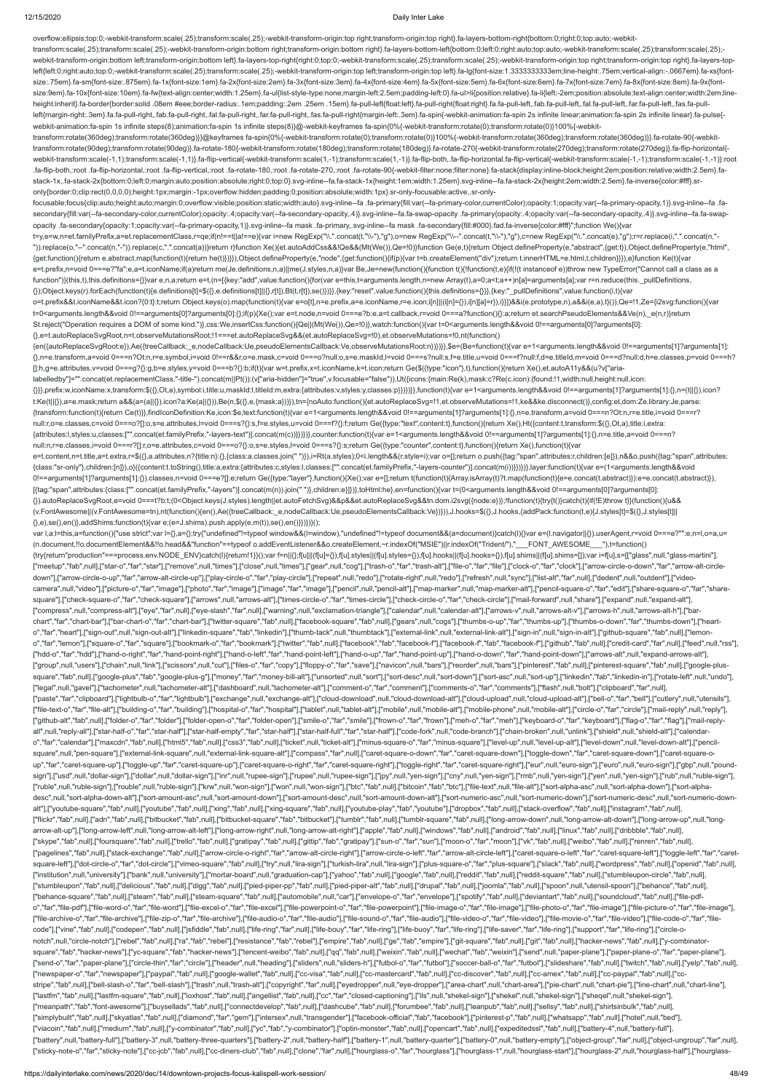overflow:ellipsis;top:0;-webkit-transform:scale(.25);transform:scale(.25);-webkit-transform-origin:top right;transform-origin:top right}.fa-layers-bottom-right{bottom:0;right:0;top:auto;-webkittransform:scale(.25);transform:scale(.25);-webkit-transform-origin:bottom right;transform-origin:bottom right}.fa-layers-bottom-left{bottom:0;left:0;right:auto;top:auto;-webkit-transform:scale(.25);transform:scale(.25); webkit-transform-origin:bottom left;transform-origin:bottom left;transform-origin:bottom left}.fa-layers-top-right{right:0;top:0;-webkit-transform:scale(.25);transform:scale(.25);-webkit-transform-origin:top right;transfor left{left:0;right:auto;top:0;-webkit-transform:scale(.25);transform:scale(.25);-webkit-transform-origin:top left;transform-origin:top left}.fa-lg{font-size:1.3333333333333333339m;line-height:.75em;vertical-align:-.0667em}. size:.75em}.fa-sm{font-size:.875em}.fa-1x{font-size:1em}.fa-2x{font-size:2em}.fa-3x{font-size:3em}.fa-4x{font-size:4em}.fa-5x{font-size:5em}.fa-6x{font-size:6em}.fa-6x{font-size:6em}.fa-6x{font-size:8em}.fa-8x{font-size:8e size:9em).fa-10x{font-size:10em}.fa-fw{text-align:center;width:1.25em}.fa-ul{list-style-type:none;margin-left:2.5em;padding-left:0}.fa-ul>li{position:relative}.fa-li{left:-2em;position:absolute;text-align:center;width:2em; height:inherit}.fa-border{border:solid .08em #eee;border-radius:.1em;padding:.2em .25em .15em}.fa-pull-left{float:left}.fa-pull-right{float:right}.fa.fa-pull-left,.fab.fa-pull-left,.fab.fa-pull-left,.fal.fa-pull-left,.fan. left{margin-right:.3em}.fa.fa-pull-right,.fab.fa-pull-right,.fal.fa-pull-right,.far.fa-pull-right,.far.fa-pull-right,.far.fa-pull-right,.fas.fa-pull-right(nargin-left:.3em}.fa-spin{-webkit-animation:fa-spin 2s infinite lin webkit-animation:fa-spin 1s infinite steps(8);animation:fa-spin 1s infinite steps(8)}@-webkit-keyframes fa-spin{0%{-webkit-transform:rotate(0);transform:rotate(0)}100%{-webkittransform:rotate(360deg);transform:rotate(360deg)}}@keyframes fa-spin{0%{-webkit-transform:rotate(0);transform:rotate(0)}100%{-webkit-transform:rotate(360deg);transform:rotate(360deg)}}.fa-rotate-90{-webkittransform:rotate(90deg);transform:rotate(90deg)}.fa-rotate-180{-webkit-transform:rotate(180deg);transform:rotate(180deg)}.fa-rotate-270{-webkit-transform:rotate(270deg);transform:rotate(270deg)}.fa-flip-horizontal{ webkit-transform:scale(-1,1);transform:scale(-1,1)}.fa-flip-vertical{-webkit-transform:scale(1,-1);transform:scale(1,-1)}.fa-flip-both,.fa-flip-both,da-flip-horizontal.fa-flip-vertical{-webkit-transform:scale(-1,-1)}:root .fa-flip-both,:root .fa-flip-horizontal,:root .fa-flip-vertical,:root .fa-rotate-180,:root .fa-rotate-270,:root .fa-rotate-90{-webkit-filter:none;filter:none}.fa-stack{display:inline-block;height:2em;position:relative;widt stack-1x,.fa-stack-2x{bottom:0;left:0;margin:auto;position:absolute;right:0;top:0}.svg-inline--fa.fa-stack-1x{height:1em;width:1.25em}.svg-inline--fa.fa-stack-2x{height:2em;width:2.5em}.fa-inverse{color:#fff}.sronly{border:0;clip:rect(0,0,0,0);height:1px;margin:-1px;overflow:hidden;padding:0;position:absolute;width:1px}.sr-only-focusable:active,.sr-onlyfocusable:focus{clip:auto;height:auto;margin:0;overflow:visible;position:static;width:auto}.svg-inline--fa .fa-primary{fill:var(--fa-primary-color,currentColor);opacity:1;opacity:1-a-primary-opacity,1)}.svg-inline--fa .fasecondary{fill:var(--fa-secondary-color,currentColor);opacity:.4;opacity:var(--fa-secondary-opacity,.4)}.svg-inline--fa.fa-swap-opacity .fa-primary{opacity:.4;opacity:.4;opacity:or(--fa-secondary-opacity:a;opacity:4)}.svgopacity .fa-secondary{opacity:1;opacity:var(--fa-primary-opacity,1)}.svg-inline--fa mask .fa-primary,.svg-inline--fa mask .fa-secondary{fill:#000}.fad.fa-inverse{color:#fff}";function We(){var t=y,e=w,n=et.familyPrefix,a=et.replacementClass,r=qe;if(n!==t||a!==e){var i=new RegExp("\\.".concat(t,"\\-"),"g"),o=new RegExp("\\--".concat(t,"\\-"),"g"),c=new RegExp("\\.".concat(e),"g");r=r.replace(i,".".concat(n,"- ")).replace(o,"--".concat(n,"-")).replace(c,".".concat(a))}return r}function Xe(){et.autoAddCss&&!Qe&&(Mt(We()),Qe=!0)}function Ge(e,t){return Object.defineProperty(e,"abstract",{get:t}),Object.defineProperty(e,"html", {get:function(){return e.abstract.map(function(t){return he(t)})}}),Object.defineProperty(e,"node",{get:function(){if(p){var t=b.createElement("div");return t.innerHTML=e.html,t.children}}}),e}function Ke(t){var e=t.prefix,n=void 0===e?"fa":e,a=t.iconName;if(a)return me(Je.definitions,n,a)||me(J.styles,n,a)}var Be,Je=new(function(){function t(){!function(t,e){if(!(t instanceof e))throw new TypeError("Cannot call a class as a function")}(this,t),this.definitions={}}var e,n,a;return e=t,(n=[{key:"add",value:function(){for(var e=this,t=arguments.length,n=new Array(t),a=0;a<t;a++)n[a]=arguments[a];var r=n.reduce(this.\_pullDefinitions, {});Object.keys(r).forEach(function(t){e.definitions[t]=\$({},e.definitions[t]||{},r[t]),Bt(t,r[t]),se()})}},{key:"reset",value:function(){this.definitions={}}},{key:"\_pullDefinitions",value:function(i,t){var o=t.prefix&&t.iconName&&t.icon?{0:t}:t;return Object.keys(o).map(function(t){var e=o[t],n=e.prefix,a=e.iconName,r=e.icon;i[n]||(i[n]={}),i[n][a]=r}),i}}])&&i(e.prototype,n),a&&i(e,a),t}()),Qe=!1,Ze={i2svg:function(){var t=0<arguments.length&&void 0!==arguments[0]?arguments[0]:{};if(p){Xe();var e=t.node,n=void 0===e?b:e,a=t.callback,r=void 0===a?function(){}:a;return et.searchPseudoElements&&Ve(n),\_e(n,r)}return St.reject("Operation requires a DOM of some kind.")},css:We,insertCss:function(){Qe||(Mt(We()),Qe=!0)},watch:function(){var t=0<arguments.length&&void 0!==arguments[0]?arguments[0]: {},e=t.autoReplaceSvgRoot,n=t.observeMutationsRoot;!1===et.autoReplaceSvg&&(et.autoReplaceSvg=!0),et.observeMutations=!0,nt(function() {en({autoReplaceSvgRoot:e}),Ae({treeCallback:\_e,nodeCallback:Ue,pseudoElementsCallback:Ve,observeMutationsRoot:n})})}},\$e=(Be=function(t){var e=1<arguments.length&&void 0!==arguments[1]?arguments[1]: {},n=e.transform,a=void 0===n?Ot:n,r=e.symbol,i=void 0!==r&&r,o=e.mask,c=void 0===o?null:o,s=e.maskId,l=void 0===s?null:s,f=e.title,u=void 0===f?null:f,d=e.titleId,m=void 0===d?null:d,h=e.classes,p=void 0===h? []:h,g=e.attributes,v=void 0===g?{}:g,b=e.styles,y=void 0===b?{}:b;if(t){var w=t.prefix,x=t.iconName,k=t.icon;return Ge(\$({type:"icon"},t),function(){return Xe(),et.autoA11y&&(u?v["arialabelledby"]="".concat(et.replacementClass,"-title-").concat(m||Pt()):(v["aria-hidden"]="true",v.focusable="false")),Ut({icons:{main:Re(k),mask:c?Re(c.icon):{found:!1,width:null,height:null,icon: {}}},prefix:w,iconName:x,transform:\$({},Ot,a),symbol:i,title:u,maskId:l,titleId:m,extra:{attributes:v,styles:y,classes:p}})})}},function(t){var e=1<arguments.length&&void 0!==arguments[1]?arguments[1]:{},n=(t||{}).icon? t:Ke(t||{}),a=e.mask;return a&&(a=(a||{}).icon?a:Ke(a||{})),Be(n,\$({},e,{mask:a}))}),tn={noAuto:function(){et.autoReplaceSvg=!1,et.observeMutations=!1,ke&&ke.disconnect()},config:et,dom:Ze,library:Je,parse: {transform:function(t){return Ce(t)}},findIconDefinition:Ke,icon:\$e,text:function(t){var e=1<arguments.length&&void 0!==arguments[1]?arguments[1]:{},n=e.transform,a=void 0===n?Ot:n,r=e.title,i=void 0===r? null:r,o=e.classes,c=void 0===o?[]:o,s=e.attributes,l=void 0===s?{}:s,f=e.styles,u=void 0===f?{}:f;return Ge({type:"text",content:t},function(){return Xe(),Ht({content:t,transform:\$({},Ot,a),title:i,extra: {attributes:l,styles:u,classes:["".concat(et.familyPrefix,"-layers-text")].concat(m(c))}})})},counter:function(t){var e=1<arguments.length&&void 0!==arguments[1]?arguments[1]:{},n=e.title,a=void 0===n? null:n,r=e.classes,i=void 0===r?[]:r,o=e.attributes,c=void 0===o?{}:o,s=e.styles,l=void 0===s?{}:s;return Ge({type:"counter",content:t},function(){return Xe(),function(t){var e=t.content,n=t.title,a=t.extra,r=\$({},a.attributes,n?{title:n}:{},{class:a.classes.join("")}),i=Rt(a.styles);0<i.length&&(r.style=i);var o=[];return o.push({tag:"span",attributes:r,children:[e]}),n&&o.push({tag:"span",att {class:"sr-only"},children:[n]}),o}({content:t.toString(),title:a,extra:{attributes:c,styles:l,classes:["".concat(et.familyPrefix,"-layers-counter")].concat(m(i))}})})},layer:function(t){var e=(1<arguments.length&&void 0!==arguments[1]?arguments[1]:{}).classes,n=void 0===e?[]:e;return Ge({type:"layer"},function(){Xe();var e=[];return t(function(t){Array.isArray(t)?t.map(function(t){e=e.concat(t.abstract)}):e=e.concat(t.abstract)}), [{tag:"span",attributes:{class:["".concat(et.familyPrefix,"-layers")].concat(m(n)).join(" ")},children:e}]})},toHtml:he},en=function(){var t=(0<arguments.length&&void 0!==arguments[0]?arguments[0]: {}).autoReplaceSvgRoot,e=void 0===t?b:t;(0<Object.keys(J.styles).length||et.autoFetchSvg)&&p&&et.autoReplaceSvg&&tn.dom.i2svg({node:e})};!function(t){try{t()}catch(t){if(!E)throw t}}(function(){u&& (v.FontAwesome||(v.FontAwesome=tn),nt(function(){en(),Ae({treeCallback:\_e,nodeCallback:Ue,pseudoElementsCallback:Ve})})),J.hooks=\$({},J.hooks,{addPack:function(t,e){J.styles[t]=\$({},J.styles[t]|| {},e),se(),en()},addShims:function(t){var e;(e=J.shims).push.apply(e,m(t)),se(),en()}})})}(); var l,a;l=this,a=function(){"use strict";var l={},a={};try{"undefined"!=typeof window&&(l=window),"undefined"!=typeof document&&(a=document)}catch(l){}var e=(l.navigator|{}}).userAgent,r=void 0===e?"":e,n=l,o=a,u= (n.document,!!o.documentElement&&!!o.head&&"function"==typeof o.addEventListener&&o.createElement,~r.indexOf("MSIE")||r.indexOf("Trident/"),"\_\_\_FONT\_AWESOME\_\_\_"),t=function() {try{return"production"===process.env.NODE\_ENV}catch(l){return!1}}();var f=n||{};f[u]||(f[u]={}),f[u].styles||(f[u].shyles={}),f[u].hooks||(f[u].hooks={}),f[u].shims||(f[u].shims=[]);var i=f[u],s=[["glass",null,"glass-mart ["meetup","fab",null],["star-o","far","star"],["remove",null,"times"],["close",null,"times"],["gear",null,"toog"],["trash-o","far","tarh-alt"],["file-o","far","falr","far","clock-o","far","clock"],["arrow-circle-o-down","f down"],["arrow-circle-o-up","far","arrow-alt-circle-up"],["play-circle-o","far","play-circle"],["repeat",null,"redo"],["rotate-right",null,"redo"],["refresh",null,"sync"],["list-alt","far","far","farl","dedent",null,"outde camera",null,"video"],["picture-o","far","image"],["photo","far","image"],["image","far","image"],["pencil",null,"pencil",null,"map-marker",null,"map-marker-alt"],["pencil-square-o","far","edit"],["share-square-o","far","s square"],["check-square-o","far","check-square"],["arrows",null,"arrows-alt"],["times-circle-o","far","times-circle"],["check-circle-o","far","check-circle-o","far","check-circle-o","far","check-circle-o","far","check-circ ["compress",null,"compress-alt"],["eye","far",null],["eye-slash","far",null],["warning",null,"exclamation-triangle"],["calendar",null,"calendar-alt"],["arrows-v",null,"arrows-alt-v"],["arrows-h",null,"arrows-alt-h"],["barchart","far","chart-bar"],["bar-chart-o","far","chart-bar"],["twitter-square","fab",null],["facebook-square","fab",null],["gears",null,"cogs"],["thumbs-o-up","far","thumbs-o-down","far","thumbs-down"],["heart-bar"],["heart o","far","heart"],["sign-out",null,"sign-out-alt"],["linkedin-square","fab","linkedin"],["thumb-tack",null,"thumbtack"],["external-link",null,"external-link-alt"],["sign-in",null,"sign-in-alt"],["github-square","fab",null] o","far","lemon"],["square-o","far","square"],["bookmark-o","far","bookmark"],["twitter","fab",null],["facebook","fab","facebook-f"],["facebook-f","fab","facebook-f"],["facebook-f"],["github","fab",null],["credit-card","fa ["hdd-o","far","hdd"],["hand-o-right","far","hand-point-right"],["hand-o-left","far","hand-point-left"],["hand-o-up","far","hand-point-up"],["hand-o-down","far","hand-point-down"],["arrows-alt",null,"expand-arrows-alt"], ["group",null,"users"],["chain",null,"link"],["scissors",null,"cut"],["files-o","far","copy"],["floppy-o","far","save"],["navicon",null,"bars"],["reorder",null,"bars"],["pinterest',"fab",null],["pinterest-square","fab",nul square","fab",null],["google-plus","fab","google-plus-g"],["money","far","money-bill-alt"],["unsorted",null,"sort-desc",null,"sort-down"],["sort-asc",null,"sort-up"],["inkedin","fab","linkedin-in"],["rotate-left",null,"und ["legal",null,"gavel"],["tachometer",null,"tachometer-alt"],["dashboard",null,"tachometer-alt"],["comment-o","far","comment"],["comments-o","far","comments"],["flash",null,"bolt"],["clipboard","far",null], ["paste","far","clipboard"],["lightbulb-o","far","lightbulb"],["exchange",null,"exchange-alt"],["cloud-download",null,"cloud-download-alt"],["cloud-upload",null,"cloud-upload-alt"],["bell-o","far","bell"],["cutlery",null," ["file-text-o","far","file-alt"],["building-o","far","building"],["hospital-o","far","hospital"],["tablet",null,"tablet-alt"],["mobile-alt"],["mobile-phone",null,"mobile-alt"],["mobile-alt"],["circle-o","far","circle"],["m ["github-alt","fab",null],["folder-o","far","folder"],["folder-open-o","far","folder-open"],["smile-o","far","smile"],["frown-o","far","frown"],["meh-o","far","meh"],["keyboard-o","far","keyboard"],["flag-o","far","flag"], all",null,"reply-all"],["star-half-o","far","star-half"],["star-half-empty","far","star-half"],["star-half-full","far","star-half-full","far","star-half"],["code-fork",null,"code-branch"],["chain-broken",null,"unlink"],["s o","far","calendar"],["maxcdn","fab",null],["html5","fab",null],["css3","fab",null],["css3","fab",null],["cket",null],"["cket",null],"ticket-alt"],["minus-square-o","far","minus-square"],["level-up",null,"level-up-alt"],[" square",null,"pen-square"],["external-link-square",null,"external-link-square-alt"],["compass","far",null],["caret-square-o-down","far","caret-square-down"],["toggle-down","far","caret-square-down"],["caret-square-oup","far","caret-square-up"),["toggle-up","far","caret-square-up"],["caret-square-o-right","far","caret-square-right"],["toggle-right","far","caret-square-right"],["toggle-right"],"caret-square-square-right"],["coret-squar sign"],["usd",null,"dollar-sign"],["dollar",null,"dollar-sign"],["inr",null,"rupee-sign"],["inpee-sign"],["inpee-sign"],["inpee-sign"],["ppy",null,"yen-sign"],["cny",null,"yen-sign"],["rmb",null,"yen-sign"],["ryen",null,"y ["ruble",null,"ruble-sign"],["rouble",null,"ruble-sign"],["krw",null,"won-sign"],["won",null,"won-sign"],["bitc","fab",null],["bitcoin","fab","bitc"],["fabte-text",null,"file-alt"],["sort-alpha-asc",null,"sort-alpha-down"] desc",null,"sort-alpha-down-alt"],["sort-amount-asc",null,"sort-amount-down"],["sort-amount-desc",null,"sort-amount-down-alt"],["sort-numeric-asc",null,"sort-numeric-down"],["sort-numeric-desc",null,"sort-numeric-down-

arrow-alt-up"],["long-arrow-left",null,"long-arrow-alt-left"],["long-arrow-right",null,"long-arrow-alt-right"],["apple","fab",null],["windows","fab",null],["android","fab",null],["linux","fab",null],["dribbble","fab",null], ["skype","fab",null],["foursquare","fab",null],["trello","fab",null],["gratipay","fab",null],["gittip","fab","ab","gratipay"],["sun-o","far","sun"],["moon-o","far","moon"],["vk","fab",null],["weibo","fab",null],["renren"," ["pagelines","fab",null],["stack-exchange","fab",null],["arrow-circle-o-right","far","arrow-alt-circle-right"],["arrow-circle-o-left","far","arrow-circle-o-left","far","arrow-circle-o-left","far","caret-square-o-left","car square-left"],["dot-circle-o","far","dot-circle"],["vimeo-square","fab",null],["try",null,"lira-sign"],["turkish-lira",null,"lira-sign"],["plus-square-o","far","plus-square"],["slack","fab",null],["wordpress","fab",null],[ ["institution",null,"university"],["bank",null,"university"],["mortar-board",null,"graduation-cap"],["yahoo","fab",null],["google","fab",null],["reddit","fab",null],["reddit-square","fab",null],["stumbleupon-circle","fab", ["stumbleupon","fab",null],["delicious","fab",null],["digg","fab",null],["pied-piper-pp","fab",null],["pied-piper-alt","fab",null],["drupal","fab",null],["orenal","fab",null],["spoon",null],["spoon",null,["utensil-spoon"], ["behance-square","fab",null],["steam","fab",null],["steam-square","fab",null],["automobile",null,"car"],["envelope-o","far","envelope"],["spotify","fab",null],["deviantart","fab",null],["soundcloud","fab",null],["file-pdfo","far","file-pdf"],["file-word-o","far","file-word"],["file-excel-o","far","file-excel"],["file-excel=o","far","file-excel-o","far","file-powerpoint-o","far","file-powerpoint"],["file-image-o","far","file-image"],["file-["file-archive-o","far","file-archive"],["file-zip-o","far","file-archive"],["file-audio-o","far","file-audio"],["file-sudio"],["file-sound-o","far","file-sudio"],["file-video-o","far","file-video"],["file-movie-o","far"," code"],["vine","fab",null],["codepen","fab",null],["jsfiddle","fab",null],["life-ring","far",null],["life-bouy","far","life-bouy","far","life-bouy","far","life-bouy","far","life-boug","far","life-saver","far","life-ring"], notch",null,"circle-notch"],["rebel","fab",null],["ra","fab","rebel"],["resistance","fab","rebel"],["empire","fab",null],["ge","fab","empire"],["git-square","fab",null],["git","fab",null],["git","fab",null],["hacker-news", square","fab","hacker-news"],["yc-square","fab","hacker-news"],["tencent-weibo","fab",null],["qq","fab",null],["weixin","fab",null],["wechat","fab",null],["wechat","fab",mull],["wechat","fab",mull],["wechat","fab",mull],[" ["send-o","far","paper-plane"],["circle-thin","far","circle"],["header",null,"heading"],["sliders",null,"sliders-h"],["futbol-o","far","futbol"],["soccer-ball-o","far","tutbol"],["slideshare","fab",null],["twitch","fab",nu ["newspaper-o","far","newspaper"],["paypal","fab",null],["google-wallet","fab",null],["cc-visa","fab",null],["cc-mastercard","fab",null],["cc-discover","fab",null],["cc-amex","fab",null],["cc-paypal","fab",null],["ccstripe","fab",null],["bell-slash-o","far","bell-slash'],["trash",null,"trash-alt"],["copyright","far",null],["eyedropper",null,"eve-dropper"],["area-chart",null,"chart-area"],["be-chart",null,"chart-pie"],["line-chart",nul ["lastfm","fab",null],["lastfm-square","fab",null],["ioxhost","fab",null],["angellist","fab",null],["cc","far","closed-captioning"],["ils",null,"shekel-sign"],["shekel",null,"shekel-sign"],["sheqel",null,"shekel-sign"], ["meanpath","fab","font-awesome"],["buysellads","fab",null],["connectdevelop","fab",null],["dashcube","fab",null],["forumbee","fab",null],["leanpub","fab",null],["sellsy","fab",null],["shirtsinbulk","fab",null], ["simplybuilt","fab",null],["skyatlas","fab",null],["diamond","far","gem"],["intersex",null,"transgender"],["facebook-official","fab","facebook"],["pinterest-p","fab",null],["whatsapp","fab",null],["hotel",null,"bed"], ["viacoin","fab",null],["medium","fab",null],["y-combinator","fab",null],["yc","fab","y-combinator"],["optin-monster","fab",null],["opencart","fab",null],["expeditedssl","fab",null],["battery-4",null,"battery-full"], ["battery",null,"battery-full"],["battery-3",null,"battery-three-quarters"],["battery-2",null,"battery-half"],["battery-1",null,"battery-quarter"],["battery-0",null,"battery-0",null,"battery-empty"],["object-group","far",n ["sticky-note-o","far","sticky-note"],["cc-jcb","fab",null],["cc-diners-club","fab",null],["clone","far",null],["hourglass-o","far","hourglass-1",null,["hourglass-1",null,"hourglass-start"],["hourglass-2",null,"hourglass-s

alt"],["youtube-square","fab",null],["youtube","fab",null],["xing","fab",null],["xing-square","fab",null],["youtube-play","fab","youtube"],["dropbox","fab",null],["stack-overflow","fab",null],["instagram","fab",null],

["flickr","fab",null],["adn","fab",null],["bitbucket","fab",null],["bitbucket-square","fab","bitbucket"],["tumblr","fab",null],["tumblr-square","fab",null],["long-arrow-down",null,"long-arrow-alt-down"],["long-arrow-up",nu